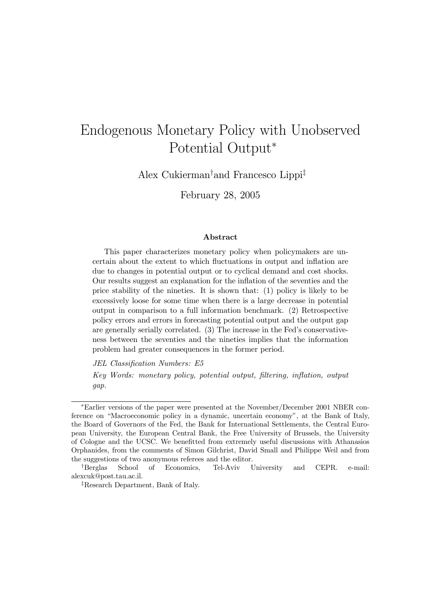# Endogenous Monetary Policy with Unobserved Potential Output<sup>∗</sup>

Alex Cukierman† and Francesco Lippi‡

February 28, 2005

#### Abstract

This paper characterizes monetary policy when policymakers are uncertain about the extent to which fluctuations in output and inflation are due to changes in potential output or to cyclical demand and cost shocks. Our results suggest an explanation for the inflation of the seventies and the price stability of the nineties. It is shown that: (1) policy is likely to be excessively loose for some time when there is a large decrease in potential output in comparison to a full information benchmark. (2) Retrospective policy errors and errors in forecasting potential output and the output gap are generally serially correlated. (3) The increase in the Fed's conservativeness between the seventies and the nineties implies that the information problem had greater consequences in the former period.

JEL Classification Numbers: E5

Key Words: monetary policy, potential output, filtering, inflation, output gap.

<sup>∗</sup>Earlier versions of the paper were presented at the November/December 2001 NBER conference on "Macroeconomic policy in a dynamic, uncertain economy", at the Bank of Italy, the Board of Governors of the Fed, the Bank for International Settlements, the Central European University, the European Central Bank, the Free University of Brussels, the University of Cologne and the UCSC. We benefitted from extremely useful discussions with Athanasios Orphanides, from the comments of Simon Gilchrist, David Small and Philippe Weil and from the suggestions of two anonymous referees and the editor.

<sup>†</sup>Berglas School of Economics, Tel-Aviv University and CEPR. e-mail: alexcuk@post.tau.ac.il.

<sup>‡</sup>Research Department, Bank of Italy.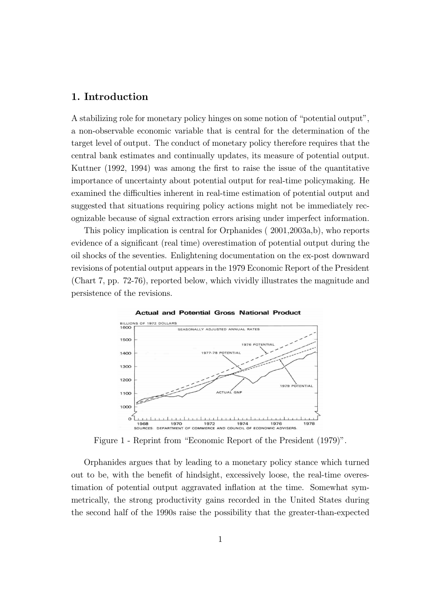### 1. Introduction

A stabilizing role for monetary policy hinges on some notion of "potential output", a non-observable economic variable that is central for the determination of the target level of output. The conduct of monetary policy therefore requires that the central bank estimates and continually updates, its measure of potential output. Kuttner (1992, 1994) was among the first to raise the issue of the quantitative importance of uncertainty about potential output for real-time policymaking. He examined the difficulties inherent in real-time estimation of potential output and suggested that situations requiring policy actions might not be immediately recognizable because of signal extraction errors arising under imperfect information.

This policy implication is central for Orphanides ( 2001,2003a,b), who reports evidence of a significant (real time) overestimation of potential output during the oil shocks of the seventies. Enlightening documentation on the ex-post downward revisions of potential output appears in the 1979 Economic Report of the President (Chart 7, pp. 72-76), reported below, which vividly illustrates the magnitude and persistence of the revisions.



Figure 1 - Reprint from "Economic Report of the President (1979)".

Orphanides argues that by leading to a monetary policy stance which turned out to be, with the benefit of hindsight, excessively loose, the real-time overestimation of potential output aggravated inflation at the time. Somewhat symmetrically, the strong productivity gains recorded in the United States during the second half of the 1990s raise the possibility that the greater-than-expected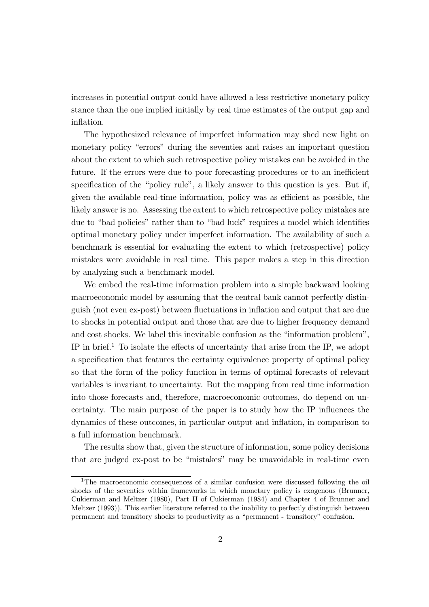increases in potential output could have allowed a less restrictive monetary policy stance than the one implied initially by real time estimates of the output gap and inflation.

The hypothesized relevance of imperfect information may shed new light on monetary policy "errors" during the seventies and raises an important question about the extent to which such retrospective policy mistakes can be avoided in the future. If the errors were due to poor forecasting procedures or to an inefficient specification of the "policy rule", a likely answer to this question is yes. But if, given the available real-time information, policy was as efficient as possible, the likely answer is no. Assessing the extent to which retrospective policy mistakes are due to "bad policies" rather than to "bad luck" requires a model which identifies optimal monetary policy under imperfect information. The availability of such a benchmark is essential for evaluating the extent to which (retrospective) policy mistakes were avoidable in real time. This paper makes a step in this direction by analyzing such a benchmark model.

We embed the real-time information problem into a simple backward looking macroeconomic model by assuming that the central bank cannot perfectly distinguish (not even ex-post) between fluctuations in inflation and output that are due to shocks in potential output and those that are due to higher frequency demand and cost shocks. We label this inevitable confusion as the "information problem", IP in brief.<sup>1</sup> To isolate the effects of uncertainty that arise from the IP, we adopt a specification that features the certainty equivalence property of optimal policy so that the form of the policy function in terms of optimal forecasts of relevant variables is invariant to uncertainty. But the mapping from real time information into those forecasts and, therefore, macroeconomic outcomes, do depend on uncertainty. The main purpose of the paper is to study how the IP influences the dynamics of these outcomes, in particular output and inflation, in comparison to a full information benchmark.

The results show that, given the structure of information, some policy decisions that are judged ex-post to be "mistakes" may be unavoidable in real-time even

<sup>&</sup>lt;sup>1</sup>The macroeconomic consequences of a similar confusion were discussed following the oil shocks of the seventies within frameworks in which monetary policy is exogenous (Brunner, Cukierman and Meltzer (1980), Part II of Cukierman (1984) and Chapter 4 of Brunner and Meltzer (1993)). This earlier literature referred to the inability to perfectly distinguish between permanent and transitory shocks to productivity as a "permanent - transitory" confusion.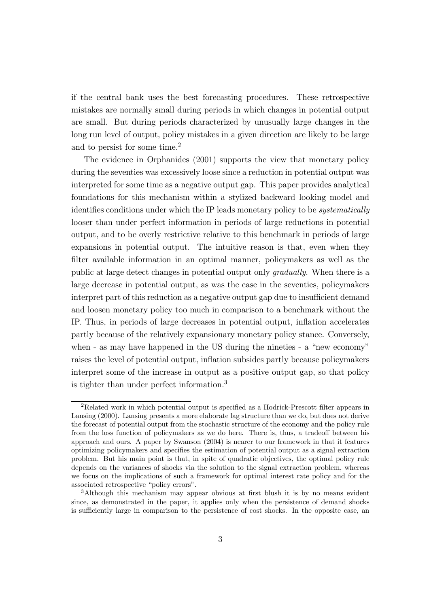if the central bank uses the best forecasting procedures. These retrospective mistakes are normally small during periods in which changes in potential output are small. But during periods characterized by unusually large changes in the long run level of output, policy mistakes in a given direction are likely to be large and to persist for some time.<sup>2</sup>

The evidence in Orphanides (2001) supports the view that monetary policy during the seventies was excessively loose since a reduction in potential output was interpreted for some time as a negative output gap. This paper provides analytical foundations for this mechanism within a stylized backward looking model and identifies conditions under which the IP leads monetary policy to be *systematically* looser than under perfect information in periods of large reductions in potential output, and to be overly restrictive relative to this benchmark in periods of large expansions in potential output. The intuitive reason is that, even when they filter available information in an optimal manner, policymakers as well as the public at large detect changes in potential output only gradually. When there is a large decrease in potential output, as was the case in the seventies, policymakers interpret part of this reduction as a negative output gap due to insufficient demand and loosen monetary policy too much in comparison to a benchmark without the IP. Thus, in periods of large decreases in potential output, inflation accelerates partly because of the relatively expansionary monetary policy stance. Conversely, when - as may have happened in the US during the nineties - a "new economy" raises the level of potential output, inflation subsides partly because policymakers interpret some of the increase in output as a positive output gap, so that policy is tighter than under perfect information.<sup>3</sup>

<sup>2</sup>Related work in which potential output is specified as a Hodrick-Prescott filter appears in Lansing (2000). Lansing presents a more elaborate lag structure than we do, but does not derive the forecast of potential output from the stochastic structure of the economy and the policy rule from the loss function of policymakers as we do here. There is, thus, a tradeoff between his approach and ours. A paper by Swanson (2004) is nearer to our framework in that it features optimizing policymakers and specifies the estimation of potential output as a signal extraction problem. But his main point is that, in spite of quadratic objectives, the optimal policy rule depends on the variances of shocks via the solution to the signal extraction problem, whereas we focus on the implications of such a framework for optimal interest rate policy and for the associated retrospective "policy errors".

<sup>3</sup>Although this mechanism may appear obvious at first blush it is by no means evident since, as demonstrated in the paper, it applies only when the persistence of demand shocks is sufficiently large in comparison to the persistence of cost shocks. In the opposite case, an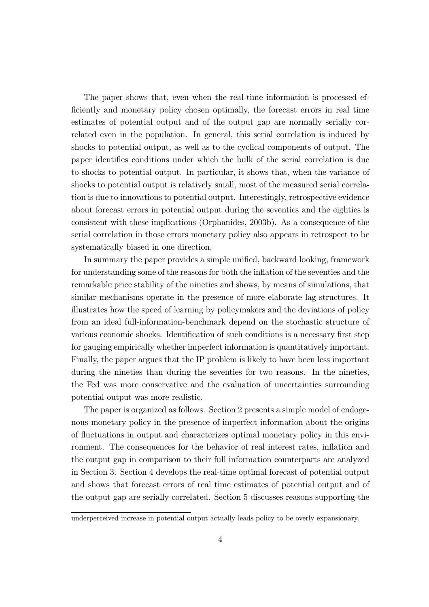The paper shows that, even when the real-time information is processed efficiently and monetary policy chosen optimally, the forecast errors in real time estimates of potential output and of the output gap are normally serially correlated even in the population. In general, this serial correlation is induced by shocks to potential output, as well as to the cyclical components of output. The paper identifies conditions under which the bulk of the serial correlation is due to shocks to potential output. In particular, it shows that, when the variance of shocks to potential output is relatively small, most of the measured serial correlation is due to innovations to potential output. Interestingly, retrospective evidence about forecast errors in potential output during the seventies and the eighties is consistent with these implications (Orphanides, 2003b). As a consequence of the serial correlation in those errors monetary policy also appears in retrospect to be systematically biased in one direction.

In summary the paper provides a simple unified, backward looking, framework for understanding some of the reasons for both the inflation of the seventies and the remarkable price stability of the nineties and shows, by means of simulations, that similar mechanisms operate in the presence of more elaborate lag structures. It illustrates how the speed of learning by policymakers and the deviations of policy from an ideal full-information-benchmark depend on the stochastic structure of various economic shocks. Identification of such conditions is a necessary first step for gauging empirically whether imperfect information is quantitatively important. Finally, the paper argues that the IP problem is likely to have been less important during the nineties than during the seventies for two reasons. In the nineties, the Fed was more conservative and the evaluation of uncertainties surrounding potential output was more realistic.

The paper is organized as follows. Section 2 presents a simple model of endogenous monetary policy in the presence of imperfect information about the origins of fluctuations in output and characterizes optimal monetary policy in this environment. The consequences for the behavior of real interest rates, inflation and the output gap in comparison to their full information counterparts are analyzed in Section 3. Section 4 develops the real-time optimal forecast of potential output and shows that forecast errors of real time estimates of potential output and of the output gap are serially correlated. Section 5 discusses reasons supporting the

underperceived increase in potential output actually leads policy to be overly expansionary.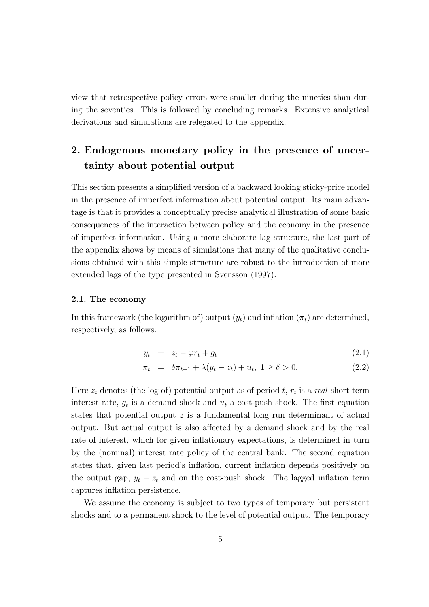view that retrospective policy errors were smaller during the nineties than during the seventies. This is followed by concluding remarks. Extensive analytical derivations and simulations are relegated to the appendix.

## 2. Endogenous monetary policy in the presence of uncertainty about potential output

This section presents a simplified version of a backward looking sticky-price model in the presence of imperfect information about potential output. Its main advantage is that it provides a conceptually precise analytical illustration of some basic consequences of the interaction between policy and the economy in the presence of imperfect information. Using a more elaborate lag structure, the last part of the appendix shows by means of simulations that many of the qualitative conclusions obtained with this simple structure are robust to the introduction of more extended lags of the type presented in Svensson (1997).

#### 2.1. The economy

In this framework (the logarithm of) output  $(y_t)$  and inflation  $(\pi_t)$  are determined, respectively, as follows:

$$
y_t = z_t - \varphi r_t + g_t \tag{2.1}
$$

$$
\pi_t = \delta \pi_{t-1} + \lambda (y_t - z_t) + u_t, \ 1 \ge \delta > 0. \tag{2.2}
$$

Here  $z_t$  denotes (the log of) potential output as of period t,  $r_t$  is a real short term interest rate,  $g_t$  is a demand shock and  $u_t$  a cost-push shock. The first equation states that potential output  $z$  is a fundamental long run determinant of actual output. But actual output is also affected by a demand shock and by the real rate of interest, which for given inflationary expectations, is determined in turn by the (nominal) interest rate policy of the central bank. The second equation states that, given last period's inflation, current inflation depends positively on the output gap,  $y_t - z_t$  and on the cost-push shock. The lagged inflation term captures inflation persistence.

We assume the economy is subject to two types of temporary but persistent shocks and to a permanent shock to the level of potential output. The temporary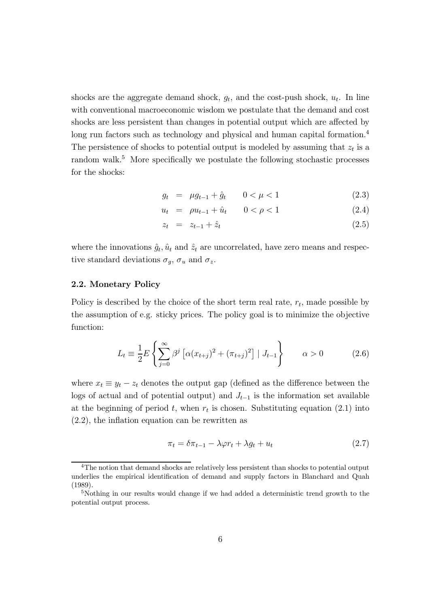shocks are the aggregate demand shock,  $g_t$ , and the cost-push shock,  $u_t$ . In line with conventional macroeconomic wisdom we postulate that the demand and cost shocks are less persistent than changes in potential output which are affected by long run factors such as technology and physical and human capital formation.<sup>4</sup> The persistence of shocks to potential output is modeled by assuming that  $z_t$  is a random walk.<sup>5</sup> More specifically we postulate the following stochastic processes for the shocks:

$$
g_t = \mu g_{t-1} + \hat{g}_t \qquad 0 < \mu < 1 \tag{2.3}
$$

$$
u_t = \rho u_{t-1} + \hat{u}_t \qquad 0 < \rho < 1 \tag{2.4}
$$

$$
z_t = z_{t-1} + \hat{z}_t \tag{2.5}
$$

where the innovations  $\hat{g}_t$ ,  $\hat{u}_t$  and  $\hat{z}_t$  are uncorrelated, have zero means and respective standard deviations  $\sigma_g$ ,  $\sigma_u$  and  $\sigma_z$ .

#### 2.2. Monetary Policy

Policy is described by the choice of the short term real rate,  $r_t$ , made possible by the assumption of e.g. sticky prices. The policy goal is to minimize the objective function:

$$
L_t \equiv \frac{1}{2} E \left\{ \sum_{j=0}^{\infty} \beta^j \left[ \alpha (x_{t+j})^2 + (\pi_{t+j})^2 \right] \mid J_{t-1} \right\} \qquad \alpha > 0 \tag{2.6}
$$

where  $x_t \equiv y_t - z_t$  denotes the output gap (defined as the difference between the logs of actual and of potential output) and  $J_{t-1}$  is the information set available at the beginning of period t, when  $r_t$  is chosen. Substituting equation (2.1) into (2.2), the inflation equation can be rewritten as

$$
\pi_t = \delta \pi_{t-1} - \lambda \varphi r_t + \lambda g_t + u_t \tag{2.7}
$$

<sup>&</sup>lt;sup>4</sup>The notion that demand shocks are relatively less persistent than shocks to potential output underlies the empirical identification of demand and supply factors in Blanchard and Quah (1989).

<sup>5</sup>Nothing in our results would change if we had added a deterministic trend growth to the potential output process.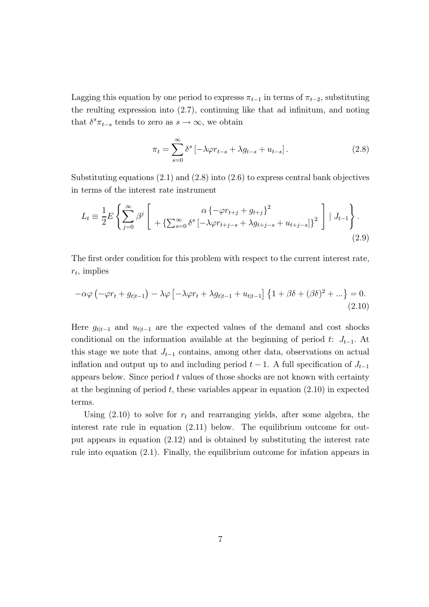Lagging this equation by one period to expresss  $\pi_{t-1}$  in terms of  $\pi_{t-2}$ , substituting the reulting expression into (2.7), continuing like that ad infinitum, and noting that  $\delta^s \pi_{t-s}$  tends to zero as  $s \to \infty$ , we obtain

$$
\pi_t = \sum_{s=0}^{\infty} \delta^s \left[ -\lambda \varphi r_{t-s} + \lambda g_{t-s} + u_{t-s} \right]. \tag{2.8}
$$

Substituting equations (2.1) and (2.8) into (2.6) to express central bank objectives in terms of the interest rate instrument

$$
L_{t} \equiv \frac{1}{2} E \left\{ \sum_{j=0}^{\infty} \beta^{j} \left[ \begin{array}{c} \alpha \left\{ -\varphi r_{t+j} + g_{t+j} \right\}^{2} \\ + \left\{ \sum_{s=0}^{\infty} \delta^{s} \left[ -\lambda \varphi r_{t+j-s} + \lambda g_{t+j-s} + u_{t+j-s} \right] \right\}^{2} \end{array} \right] \middle| J_{t-1} \right\}.
$$
\n(2.9)

The first order condition for this problem with respect to the current interest rate,  $r_t$ , implies

$$
-\alpha\varphi\left(-\varphi r_t + g_{t|t-1}\right) - \lambda\varphi\left[-\lambda\varphi r_t + \lambda g_{t|t-1} + u_{t|t-1}\right] \left\{1 + \beta\delta + (\beta\delta)^2 + \ldots\right\} = 0.
$$
\n(2.10)

Here  $g_{t|t-1}$  and  $u_{t|t-1}$  are the expected values of the demand and cost shocks conditional on the information available at the beginning of period t:  $J_{t-1}$ . At this stage we note that  $J_{t-1}$  contains, among other data, observations on actual inflation and output up to and including period  $t-1$ . A full specification of  $J_{t-1}$ appears below. Since period  $t$  values of those shocks are not known with certainty at the beginning of period  $t$ , these variables appear in equation  $(2.10)$  in expected terms.

Using (2.10) to solve for  $r_t$  and rearranging yields, after some algebra, the interest rate rule in equation (2.11) below. The equilibrium outcome for output appears in equation (2.12) and is obtained by substituting the interest rate rule into equation (2.1). Finally, the equilibrium outcome for infation appears in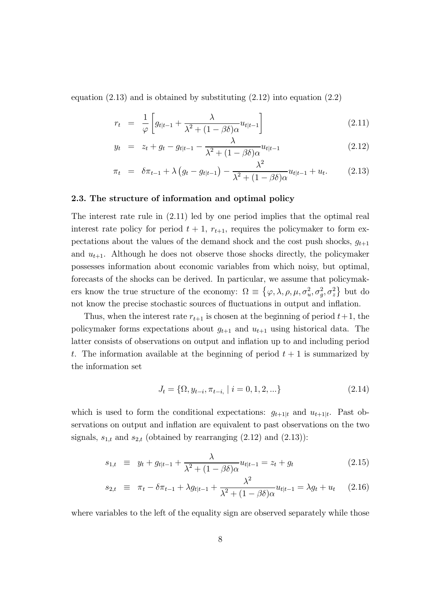equation  $(2.13)$  and is obtained by substituting  $(2.12)$  into equation  $(2.2)$ 

$$
r_t = \frac{1}{\varphi} \left[ g_{t|t-1} + \frac{\lambda}{\lambda^2 + (1 - \beta \delta) \alpha} u_{t|t-1} \right]
$$
 (2.11)

$$
y_t = z_t + g_t - g_{t|t-1} - \frac{\lambda}{\lambda^2 + (1 - \beta \delta)\alpha} u_{t|t-1}
$$
 (2.12)

$$
\pi_t = \delta \pi_{t-1} + \lambda \left( g_t - g_{t|t-1} \right) - \frac{\lambda^2}{\lambda^2 + (1 - \beta \delta) \alpha} u_{t|t-1} + u_t. \tag{2.13}
$$

#### 2.3. The structure of information and optimal policy

The interest rate rule in (2.11) led by one period implies that the optimal real interest rate policy for period  $t + 1$ ,  $r_{t+1}$ , requires the policymaker to form expectations about the values of the demand shock and the cost push shocks,  $g_{t+1}$ and  $u_{t+1}$ . Although he does not observe those shocks directly, the policymaker possesses information about economic variables from which noisy, but optimal, forecasts of the shocks can be derived. In particular, we assume that policymakers know the true structure of the economy:  $\Omega \equiv \{\varphi, \lambda, \rho, \mu, \sigma_u^2, \sigma_g^2, \sigma_z^2\}$  but do not know the precise stochastic sources of fluctuations in output and inflation.

Thus, when the interest rate  $r_{t+1}$  is chosen at the beginning of period  $t+1$ , the policymaker forms expectations about  $g_{t+1}$  and  $u_{t+1}$  using historical data. The latter consists of observations on output and inflation up to and including period t. The information available at the beginning of period  $t + 1$  is summarized by the information set

$$
J_t = \{ \Omega, y_{t-i}, \pi_{t-i}, \mid i = 0, 1, 2, \ldots \}
$$
\n(2.14)

which is used to form the conditional expectations:  $g_{t+1|t}$  and  $u_{t+1|t}$ . Past observations on output and inflation are equivalent to past observations on the two signals,  $s_{1,t}$  and  $s_{2,t}$  (obtained by rearranging (2.12) and (2.13)):

$$
s_{1,t} \equiv y_t + g_{t|t-1} + \frac{\lambda}{\lambda^2 + (1 - \beta \delta)\alpha} u_{t|t-1} = z_t + g_t \tag{2.15}
$$

$$
s_{2,t} \equiv \pi_t - \delta \pi_{t-1} + \lambda g_{t|t-1} + \frac{\lambda^2}{\lambda^2 + (1 - \beta \delta) \alpha} u_{t|t-1} = \lambda g_t + u_t \quad (2.16)
$$

where variables to the left of the equality sign are observed separately while those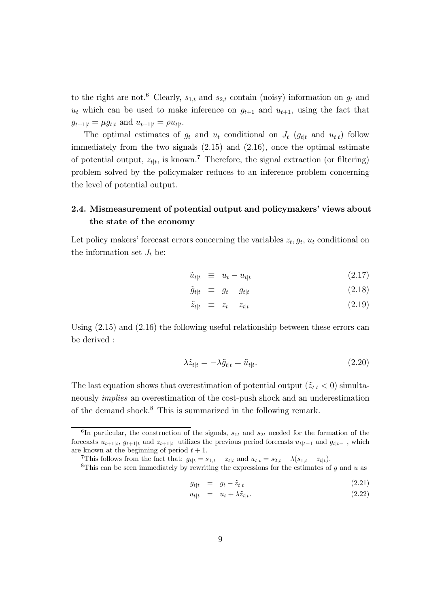to the right are not.<sup>6</sup> Clearly,  $s_{1,t}$  and  $s_{2,t}$  contain (noisy) information on  $g_t$  and  $u_t$  which can be used to make inference on  $g_{t+1}$  and  $u_{t+1}$ , using the fact that  $g_{t+1|t} = \mu g_{t|t}$  and  $u_{t+1|t} = \rho u_{t|t}$ .

The optimal estimates of  $g_t$  and  $u_t$  conditional on  $J_t$  ( $g_{t|t}$  and  $u_{t|t}$ ) follow immediately from the two signals (2.15) and (2.16), once the optimal estimate of potential output,  $z_{t|t}$ , is known.<sup>7</sup> Therefore, the signal extraction (or filtering) problem solved by the policymaker reduces to an inference problem concerning the level of potential output.

## 2.4. Mismeasurement of potential output and policymakers' views about the state of the economy

Let policy makers' forecast errors concerning the variables  $z_t$ ,  $g_t$ ,  $u_t$  conditional on the information set  $J_t$  be:

$$
\tilde{u}_{t|t} \equiv u_t - u_{t|t} \tag{2.17}
$$

$$
\tilde{g}_{t|t} \equiv g_t - g_{t|t} \tag{2.18}
$$

$$
\tilde{z}_{t|t} \equiv z_t - z_{t|t} \tag{2.19}
$$

Using  $(2.15)$  and  $(2.16)$  the following useful relationship between these errors can be derived :

$$
\lambda \tilde{z}_{t|t} = -\lambda \tilde{g}_{t|t} = \tilde{u}_{t|t}.
$$
\n(2.20)

The last equation shows that overestimation of potential output  $(\tilde{z}_{t|t} < 0)$  simultaneously implies an overestimation of the cost-push shock and an underestimation of the demand shock.<sup>8</sup> This is summarized in the following remark.

$$
g_{t|t} = g_t - \tilde{z}_{t|t} \tag{2.21}
$$

$$
u_{t|t} = u_t + \lambda \tilde{z}_{t|t}.
$$
\n
$$
(2.22)
$$

<sup>&</sup>lt;sup>6</sup>In particular, the construction of the signals,  $s_{1t}$  and  $s_{2t}$  needed for the formation of the forecasts  $u_{t+1|t}$ ,  $g_{t+1|t}$  and  $z_{t+1|t}$  utilizes the previous period forecasts  $u_{t|t-1}$  and  $g_{t|t-1}$ , which are known at the beginning of period  $t + 1$ .

<sup>&</sup>lt;sup>7</sup>This follows from the fact that:  $g_{t|t} = s_{1,t} - z_{t|t}$  and  $u_{t|t} = s_{2,t} - \lambda(s_{1,t} - z_{t|t})$ .<br><sup>8</sup>This can be seen immediately by rewriting the expressions for the estimates of g and u as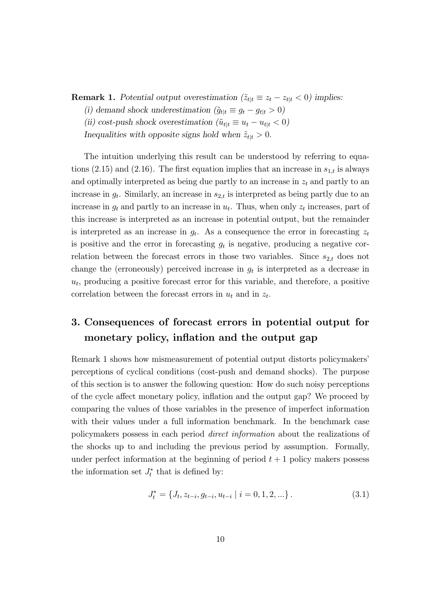**Remark 1.** Potential output overestimation ( $\tilde{z}_{t|t} \equiv z_t - z_{t|t} < 0$ ) implies: (i) demand shock underestimation ( $\tilde{g}_{t|t} \equiv g_t - g_{t|t} > 0$ ) (ii) cost-push shock overestimation ( $\tilde{u}_{t|t} \equiv u_t - u_{t|t} < 0$ ) Inequalities with opposite signs hold when  $\tilde{z}_{t|t} > 0$ .

The intuition underlying this result can be understood by referring to equations (2.15) and (2.16). The first equation implies that an increase in  $s_{1,t}$  is always and optimally interpreted as being due partly to an increase in  $z_t$  and partly to an increase in  $g_t$ . Similarly, an increase in  $s_{2,t}$  is interpreted as being partly due to an increase in  $g_t$  and partly to an increase in  $u_t$ . Thus, when only  $z_t$  increases, part of this increase is interpreted as an increase in potential output, but the remainder is interpreted as an increase in  $g_t$ . As a consequence the error in forecasting  $z_t$ is positive and the error in forecasting  $g_t$  is negative, producing a negative correlation between the forecast errors in those two variables. Since  $s_{2,t}$  does not change the (erroneously) perceived increase in  $g_t$  is interpreted as a decrease in  $u_t$ , producing a positive forecast error for this variable, and therefore, a positive correlation between the forecast errors in  $u_t$  and in  $z_t$ .

## 3. Consequences of forecast errors in potential output for monetary policy, inflation and the output gap

Remark 1 shows how mismeasurement of potential output distorts policymakers' perceptions of cyclical conditions (cost-push and demand shocks). The purpose of this section is to answer the following question: How do such noisy perceptions of the cycle affect monetary policy, inflation and the output gap? We proceed by comparing the values of those variables in the presence of imperfect information with their values under a full information benchmark. In the benchmark case policymakers possess in each period direct information about the realizations of the shocks up to and including the previous period by assumption. Formally, under perfect information at the beginning of period  $t + 1$  policy makers possess the information set  $J_t^*$  that is defined by:

$$
J_t^* = \{J_t, z_{t-i}, g_{t-i}, u_{t-i} \mid i = 0, 1, 2, \ldots\}.
$$
\n(3.1)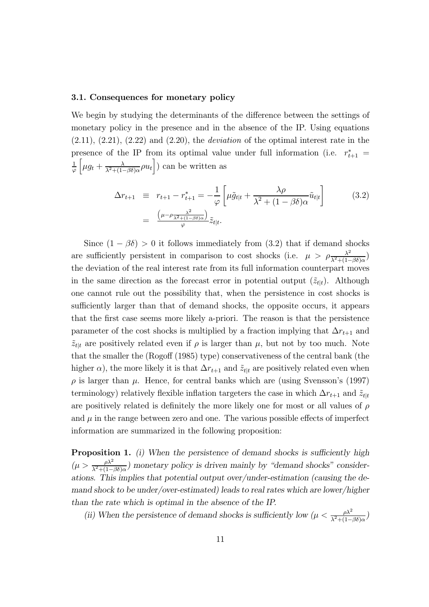### 3.1. Consequences for monetary policy

We begin by studying the determinants of the difference between the settings of monetary policy in the presence and in the absence of the IP. Using equations  $(2.11), (2.21), (2.22)$  and  $(2.20),$  the *deviation* of the optimal interest rate in the presence of the IP from its optimal value under full information (i.e.  $r_{t+1}^* =$ 1 ϕ  $\left[\mu g_t + \frac{\lambda}{\lambda^2 + (1-\beta\delta)\alpha}\rho u_t\right]$  can be written as

$$
\Delta r_{t+1} \equiv r_{t+1} - r_{t+1}^* = -\frac{1}{\varphi} \left[ \mu \tilde{g}_{t|t} + \frac{\lambda \rho}{\lambda^2 + (1 - \beta \delta) \alpha} \tilde{u}_{t|t} \right]
$$
(3.2)  

$$
= \frac{\left( \mu - \rho \frac{\lambda^2}{\lambda^2 + (1 - \beta \delta) \alpha} \right)}{\varphi} \tilde{z}_{t|t}.
$$

Since  $(1 - \beta \delta) > 0$  it follows immediately from  $(3.2)$  that if demand shocks are sufficiently persistent in comparison to cost shocks (i.e.  $\mu > \rho \frac{\lambda^2}{\lambda^2 + (1 - \beta \delta)\alpha}$ ) the deviation of the real interest rate from its full information counterpart moves in the same direction as the forecast error in potential output  $(\tilde{z}_{tt})$ . Although one cannot rule out the possibility that, when the persistence in cost shocks is sufficiently larger than that of demand shocks, the opposite occurs, it appears that the first case seems more likely a-priori. The reason is that the persistence parameter of the cost shocks is multiplied by a fraction implying that  $\Delta r_{t+1}$  and  $\tilde{z}_{t|t}$  are positively related even if  $\rho$  is larger than  $\mu$ , but not by too much. Note that the smaller the (Rogoff (1985) type) conservativeness of the central bank (the higher  $\alpha$ ), the more likely it is that  $\Delta r_{t+1}$  and  $\tilde{z}_{t|t}$  are positively related even when  $\rho$  is larger than  $\mu$ . Hence, for central banks which are (using Svensson's (1997) terminology) relatively flexible inflation targeters the case in which  $\Delta r_{t+1}$  and  $\tilde{z}_{tl}$ are positively related is definitely the more likely one for most or all values of  $\rho$ and  $\mu$  in the range between zero and one. The various possible effects of imperfect information are summarized in the following proposition:

Proposition 1. (i) When the persistence of demand shocks is sufficiently high  $(\mu > \frac{\rho \lambda^2}{\lambda^2 + (1-\beta \delta)\alpha})$  monetary policy is driven mainly by "demand shocks" considerations. This implies that potential output over/under-estimation (causing the demand shock to be under/over-estimated) leads to real rates which are lower/higher than the rate which is optimal in the absence of the IP.

(ii) When the persistence of demand shocks is sufficiently low  $(\mu < \frac{\rho \lambda^2}{\lambda^2 + (1-\beta \delta)\alpha})$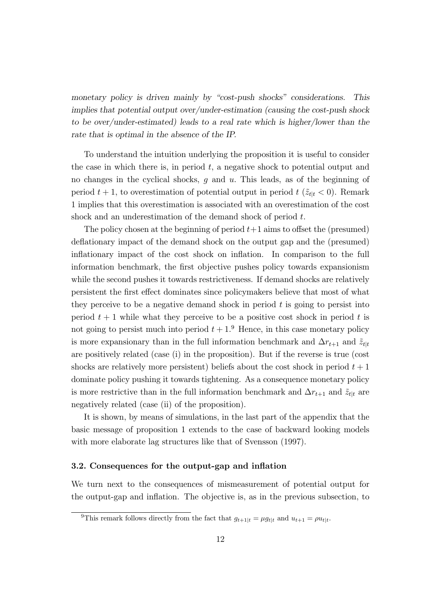monetary policy is driven mainly by "cost-push shocks" considerations. This implies that potential output over/under-estimation (causing the cost-push shock to be over/under-estimated) leads to a real rate which is higher/lower than the rate that is optimal in the absence of the IP.

To understand the intuition underlying the proposition it is useful to consider the case in which there is, in period  $t$ , a negative shock to potential output and no changes in the cyclical shocks, q and  $u$ . This leads, as of the beginning of period  $t + 1$ , to overestimation of potential output in period  $t$  ( $\tilde{z}_{t|t} < 0$ ). Remark 1 implies that this overestimation is associated with an overestimation of the cost shock and an underestimation of the demand shock of period t.

The policy chosen at the beginning of period  $t+1$  aims to offset the (presumed) deflationary impact of the demand shock on the output gap and the (presumed) inflationary impact of the cost shock on inflation. In comparison to the full information benchmark, the first objective pushes policy towards expansionism while the second pushes it towards restrictiveness. If demand shocks are relatively persistent the first effect dominates since policymakers believe that most of what they perceive to be a negative demand shock in period  $t$  is going to persist into period  $t + 1$  while what they perceive to be a positive cost shock in period t is not going to persist much into period  $t + 1$ <sup>9</sup> Hence, in this case monetary policy is more expansionary than in the full information benchmark and  $\Delta r_{t+1}$  and  $\tilde{z}_{t|t}$ are positively related (case (i) in the proposition). But if the reverse is true (cost shocks are relatively more persistent) beliefs about the cost shock in period  $t + 1$ dominate policy pushing it towards tightening. As a consequence monetary policy is more restrictive than in the full information benchmark and  $\Delta r_{t+1}$  and  $\tilde{z}_{t|t}$  are negatively related (case (ii) of the proposition).

It is shown, by means of simulations, in the last part of the appendix that the basic message of proposition 1 extends to the case of backward looking models with more elaborate lag structures like that of Svensson (1997).

### 3.2. Consequences for the output-gap and inflation

We turn next to the consequences of mismeasurement of potential output for the output-gap and inflation. The objective is, as in the previous subsection, to

<sup>&</sup>lt;sup>9</sup>This remark follows directly from the fact that  $g_{t+1|t} = \mu g_{t|t}$  and  $u_{t+1} = \rho u_{t|t}$ .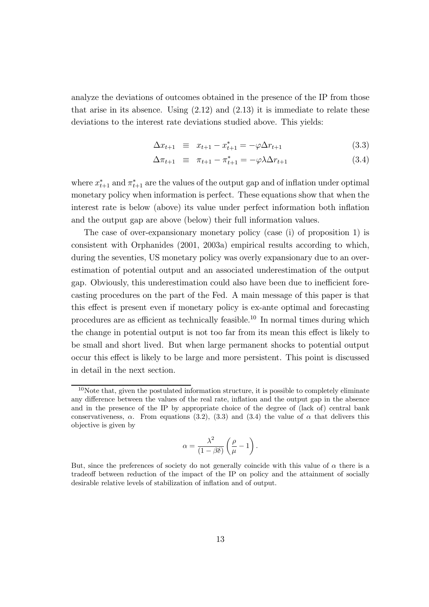analyze the deviations of outcomes obtained in the presence of the IP from those that arise in its absence. Using  $(2.12)$  and  $(2.13)$  it is immediate to relate these deviations to the interest rate deviations studied above. This yields:

$$
\Delta x_{t+1} \equiv x_{t+1} - x_{t+1}^* = -\varphi \Delta r_{t+1} \tag{3.3}
$$

$$
\Delta \pi_{t+1} \equiv \pi_{t+1} - \pi_{t+1}^* = -\varphi \lambda \Delta r_{t+1} \tag{3.4}
$$

where  $x_{t+1}^*$  and  $\pi_{t+1}^*$  are the values of the output gap and of inflation under optimal monetary policy when information is perfect. These equations show that when the interest rate is below (above) its value under perfect information both inflation and the output gap are above (below) their full information values.

The case of over-expansionary monetary policy (case (i) of proposition 1) is consistent with Orphanides (2001, 2003a) empirical results according to which, during the seventies, US monetary policy was overly expansionary due to an overestimation of potential output and an associated underestimation of the output gap. Obviously, this underestimation could also have been due to inefficient forecasting procedures on the part of the Fed. A main message of this paper is that this effect is present even if monetary policy is ex-ante optimal and forecasting procedures are as efficient as technically feasible.<sup>10</sup> In normal times during which the change in potential output is not too far from its mean this effect is likely to be small and short lived. But when large permanent shocks to potential output occur this effect is likely to be large and more persistent. This point is discussed in detail in the next section.

$$
\alpha = \frac{\lambda^2}{(1-\beta\delta)}\left(\frac{\rho}{\mu}-1\right).
$$

 $10$ Note that, given the postulated information structure, it is possible to completely eliminate any difference between the values of the real rate, inflation and the output gap in the absence and in the presence of the IP by appropriate choice of the degree of (lack of) central bank conservativeness,  $\alpha$ . From equations (3.2), (3.3) and (3.4) the value of  $\alpha$  that delivers this objective is given by

But, since the preferences of society do not generally coincide with this value of  $\alpha$  there is a tradeoff between reduction of the impact of the IP on policy and the attainment of socially desirable relative levels of stabilization of inflation and of output.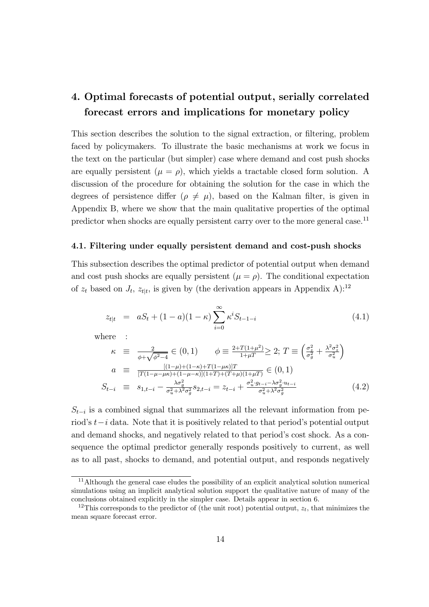## 4. Optimal forecasts of potential output, serially correlated forecast errors and implications for monetary policy

This section describes the solution to the signal extraction, or filtering, problem faced by policymakers. To illustrate the basic mechanisms at work we focus in the text on the particular (but simpler) case where demand and cost push shocks are equally persistent  $(\mu = \rho)$ , which yields a tractable closed form solution. A discussion of the procedure for obtaining the solution for the case in which the degrees of persistence differ  $(\rho \neq \mu)$ , based on the Kalman filter, is given in Appendix B, where we show that the main qualitative properties of the optimal predictor when shocks are equally persistent carry over to the more general case.<sup>11</sup>

#### 4.1. Filtering under equally persistent demand and cost-push shocks

This subsection describes the optimal predictor of potential output when demand and cost push shocks are equally persistent  $(\mu = \rho)$ . The conditional expectation of  $z_t$  based on  $J_t$ ,  $z_{t|t}$ , is given by (the derivation appears in Appendix A):<sup>12</sup>

$$
z_{t|t} = aS_t + (1 - a)(1 - \kappa) \sum_{i=0}^{\infty} \kappa^i S_{t-1-i}
$$
\n(4.1)

where :

$$
\kappa \equiv \frac{2}{\phi + \sqrt{\phi^2 - 4}} \in (0, 1) \qquad \phi \equiv \frac{2 + T(1 + \mu^2)}{1 + \mu^2} \geq 2; \ T \equiv \left(\frac{\sigma_z^2}{\sigma_g^2} + \frac{\lambda^2 \sigma_z^2}{\sigma_u^2}\right)
$$
  
\n
$$
a \equiv \frac{[(1 - \mu) + (1 - \kappa) + T(1 - \mu \kappa)]T}{[T(1 - \mu - \mu \kappa) + (1 - \mu - \kappa)](1 + T) + (T + \mu)(1 + \mu T)} \in (0, 1)
$$
  
\n
$$
S_{t-i} \equiv s_{1, t-i} - \frac{\lambda \sigma_g^2}{\sigma_u^2 + \lambda^2 \sigma_g^2} s_{2, t-i} = z_{t-i} + \frac{\sigma_u^2 \cdot g_{t-i} - \lambda \sigma_g^2 \cdot u_{t-i}}{\sigma_u^2 + \lambda^2 \sigma_g^2}
$$
(4.2)

 $S_{t-i}$  is a combined signal that summarizes all the relevant information from period's t−i data. Note that it is positively related to that period's potential output and demand shocks, and negatively related to that period's cost shock. As a consequence the optimal predictor generally responds positively to current, as well as to all past, shocks to demand, and potential output, and responds negatively

<sup>&</sup>lt;sup>11</sup>Although the general case eludes the possibility of an explicit analytical solution numerical simulations using an implicit analytical solution support the qualitative nature of many of the conclusions obtained explicitly in the simpler case. Details appear in section 6.

<sup>&</sup>lt;sup>12</sup>This corresponds to the predictor of (the unit root) potential output,  $z_t$ , that minimizes the mean square forecast error.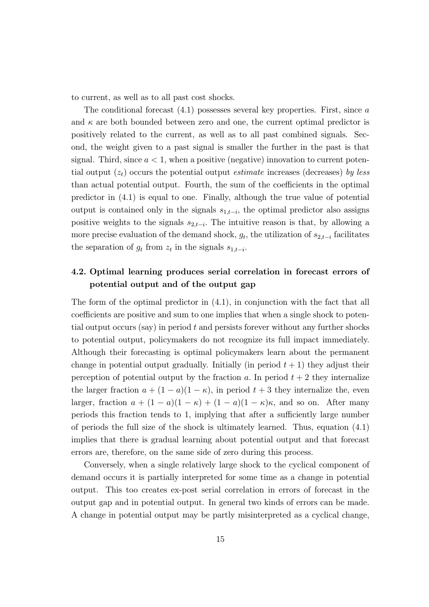to current, as well as to all past cost shocks.

The conditional forecast  $(4.1)$  possesses several key properties. First, since a and  $\kappa$  are both bounded between zero and one, the current optimal predictor is positively related to the current, as well as to all past combined signals. Second, the weight given to a past signal is smaller the further in the past is that signal. Third, since  $a < 1$ , when a positive (negative) innovation to current potential output  $(z_t)$  occurs the potential output *estimate* increases (decreases) by less than actual potential output. Fourth, the sum of the coefficients in the optimal predictor in (4.1) is equal to one. Finally, although the true value of potential output is contained only in the signals  $s_{1,t-i}$ , the optimal predictor also assigns positive weights to the signals  $s_{2,t-i}$ . The intuitive reason is that, by allowing a more precise evaluation of the demand shock,  $g_t$ , the utilization of  $s_{2,t-i}$  facilitates the separation of  $g_t$  from  $z_t$  in the signals  $s_{1,t-i}$ .

## 4.2. Optimal learning produces serial correlation in forecast errors of potential output and of the output gap

The form of the optimal predictor in (4.1), in conjunction with the fact that all coefficients are positive and sum to one implies that when a single shock to potential output occurs (say) in period  $t$  and persists forever without any further shocks to potential output, policymakers do not recognize its full impact immediately. Although their forecasting is optimal policymakers learn about the permanent change in potential output gradually. Initially (in period  $t + 1$ ) they adjust their perception of potential output by the fraction a. In period  $t + 2$  they internalize the larger fraction  $a + (1 - a)(1 - \kappa)$ , in period  $t + 3$  they internalize the, even larger, fraction  $a + (1 - a)(1 - \kappa) + (1 - a)(1 - \kappa)\kappa$ , and so on. After many periods this fraction tends to 1, implying that after a sufficiently large number of periods the full size of the shock is ultimately learned. Thus, equation (4.1) implies that there is gradual learning about potential output and that forecast errors are, therefore, on the same side of zero during this process.

Conversely, when a single relatively large shock to the cyclical component of demand occurs it is partially interpreted for some time as a change in potential output. This too creates ex-post serial correlation in errors of forecast in the output gap and in potential output. In general two kinds of errors can be made. A change in potential output may be partly misinterpreted as a cyclical change,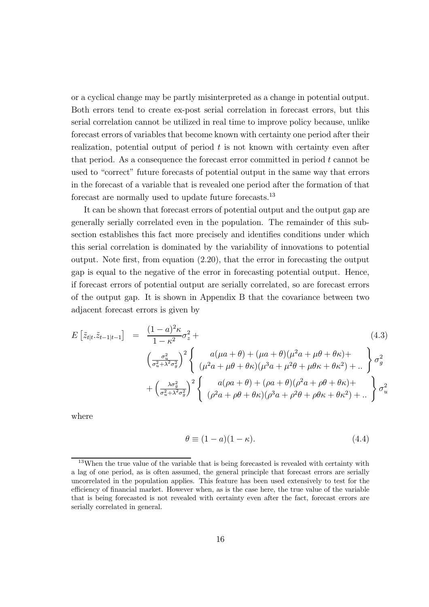or a cyclical change may be partly misinterpreted as a change in potential output. Both errors tend to create ex-post serial correlation in forecast errors, but this serial correlation cannot be utilized in real time to improve policy because, unlike forecast errors of variables that become known with certainty one period after their realization, potential output of period t is not known with certainty even after that period. As a consequence the forecast error committed in period  $t$  cannot be used to "correct" future forecasts of potential output in the same way that errors in the forecast of a variable that is revealed one period after the formation of that forecast are normally used to update future forecasts.<sup>13</sup>

It can be shown that forecast errors of potential output and the output gap are generally serially correlated even in the population. The remainder of this subsection establishes this fact more precisely and identifies conditions under which this serial correlation is dominated by the variability of innovations to potential output. Note first, from equation (2.20), that the error in forecasting the output gap is equal to the negative of the error in forecasting potential output. Hence, if forecast errors of potential output are serially correlated, so are forecast errors of the output gap. It is shown in Appendix B that the covariance between two adjacent forecast errors is given by

$$
E\left[\tilde{z}_{t|t}.\tilde{z}_{t-1|t-1}\right] = \frac{(1-a)^2\kappa}{1-\kappa^2}\sigma_z^2 +
$$
\n
$$
\left(\frac{\sigma_u^2}{\sigma_u^2 + \lambda^2 \sigma_g^2}\right)^2 \left\{\n\begin{array}{c}\na(\mu a + \theta) + (\mu a + \theta)(\mu^2 a + \mu \theta + \theta \kappa) + \\
(\mu^2 a + \mu \theta + \theta \kappa)(\mu^3 a + \mu^2 \theta + \mu \theta \kappa + \theta \kappa^2) + \dots\n\end{array}\n\right\} \sigma_g^2 + \left(\frac{\lambda \sigma_g^2}{\sigma_u^2 + \lambda^2 \sigma_g^2}\right)^2 \left\{\n\begin{array}{c}\na(\rho a + \theta) + (\rho a + \theta)(\rho^2 a + \rho \theta + \theta \kappa) + \\
(\rho^2 a + \rho \theta + \theta \kappa)(\rho^3 a + \rho^2 \theta + \rho \theta \kappa + \theta \kappa^2) + \dots\n\end{array}\n\right\} \sigma_u^2
$$
\n(4.3)

where

$$
\theta \equiv (1 - a)(1 - \kappa). \tag{4.4}
$$

 $13$ When the true value of the variable that is being forecasted is revealed with certainty with a lag of one period, as is often assumed, the general principle that forecast errors are serially uncorrelated in the population applies. This feature has been used extensively to test for the efficiency of financial market. However when, as is the case here, the true value of the variable that is being forecasted is not revealed with certainty even after the fact, forecast errors are serially correlated in general.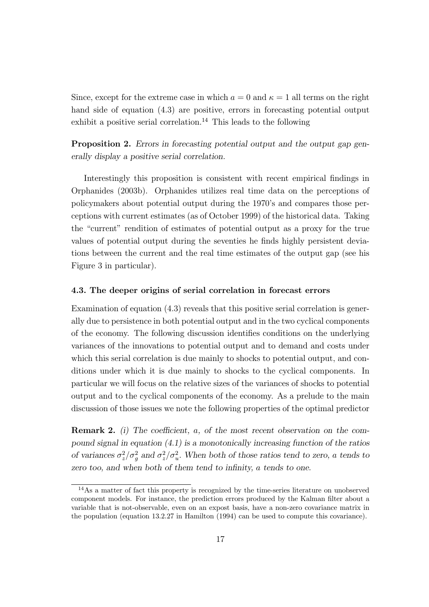Since, except for the extreme case in which  $a = 0$  and  $\kappa = 1$  all terms on the right hand side of equation (4.3) are positive, errors in forecasting potential output exhibit a positive serial correlation.<sup>14</sup> This leads to the following

**Proposition 2.** Errors in forecasting potential output and the output gap generally display a positive serial correlation.

Interestingly this proposition is consistent with recent empirical findings in Orphanides (2003b). Orphanides utilizes real time data on the perceptions of policymakers about potential output during the 1970's and compares those perceptions with current estimates (as of October 1999) of the historical data. Taking the "current" rendition of estimates of potential output as a proxy for the true values of potential output during the seventies he finds highly persistent deviations between the current and the real time estimates of the output gap (see his Figure 3 in particular).

### 4.3. The deeper origins of serial correlation in forecast errors

Examination of equation (4.3) reveals that this positive serial correlation is generally due to persistence in both potential output and in the two cyclical components of the economy. The following discussion identifies conditions on the underlying variances of the innovations to potential output and to demand and costs under which this serial correlation is due mainly to shocks to potential output, and conditions under which it is due mainly to shocks to the cyclical components. In particular we will focus on the relative sizes of the variances of shocks to potential output and to the cyclical components of the economy. As a prelude to the main discussion of those issues we note the following properties of the optimal predictor

Remark 2. (i) The coefficient, a, of the most recent observation on the compound signal in equation (4.1) is a monotonically increasing function of the ratios of variances  $\sigma_z^2/\sigma_y^2$  and  $\sigma_z^2/\sigma_u^2$ . When both of those ratios tend to zero, a tends to zero too, and when both of them tend to infinity, a tends to one.

<sup>14</sup>As a matter of fact this property is recognized by the time-series literature on unobserved component models. For instance, the prediction errors produced by the Kalman filter about a variable that is not-observable, even on an expost basis, have a non-zero covariance matrix in the population (equation 13.2.27 in Hamilton (1994) can be used to compute this covariance).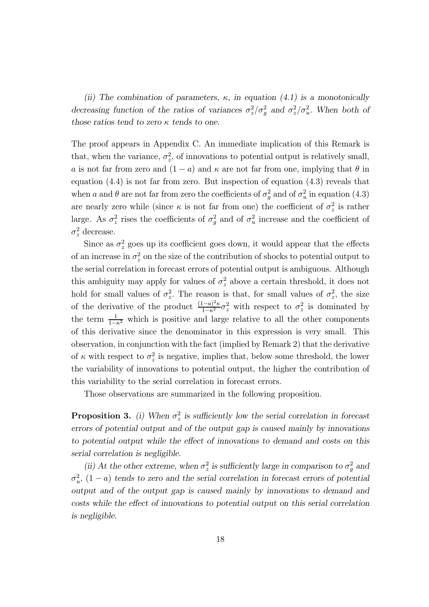(ii) The combination of parameters,  $\kappa$ , in equation (4.1) is a monotonically decreasing function of the ratios of variances  $\sigma_z^2/\sigma_g^2$  and  $\sigma_z^2/\sigma_u^2$ . When both of those ratios tend to zero  $\kappa$  tends to one.

The proof appears in Appendix C. An immediate implication of this Remark is that, when the variance,  $\sigma_z^2$ , of innovations to potential output is relatively small, a is not far from zero and  $(1 - a)$  and  $\kappa$  are not far from one, implying that  $\theta$  in equation  $(4.4)$  is not far from zero. But inspection of equation  $(4.3)$  reveals that when a and  $\theta$  are not far from zero the coefficients of  $\sigma_g^2$  and of  $\sigma_u^2$  in equation (4.3) are nearly zero while (since  $\kappa$  is not far from one) the coefficient of  $\sigma_z^2$  is rather large. As  $\sigma_z^2$  rises the coefficients of  $\sigma_g^2$  and of  $\sigma_u^2$  increase and the coefficient of  $\sigma_z^2$  decrease.

Since as  $\sigma_z^2$  goes up its coefficient goes down, it would appear that the effects of an increase in  $\sigma_z^2$  on the size of the contribution of shocks to potential output to the serial correlation in forecast errors of potential output is ambiguous. Although this ambiguity may apply for values of  $\sigma_z^2$  above a certain threshold, it does not hold for small values of  $\sigma_z^2$ . The reason is that, for small values of  $\sigma_z^2$ , the size of the derivative of the product  $\frac{(1-a)^2\kappa}{1-\kappa^2}\sigma_z^2$  with respect to  $\sigma_z^2$  is dominated by the term  $\frac{1}{1-\kappa^2}$  which is positive and large relative to all the other components of this derivative since the denominator in this expression is very small. This observation, in conjunction with the fact (implied by Remark 2) that the derivative of  $\kappa$  with respect to  $\sigma_z^2$  is negative, implies that, below some threshold, the lower the variability of innovations to potential output, the higher the contribution of this variability to the serial correlation in forecast errors.

Those observations are summarized in the following proposition.

**Proposition 3.** (i) When  $\sigma_z^2$  is sufficiently low the serial correlation in forecast errors of potential output and of the output gap is caused mainly by innovations to potential output while the effect of innovations to demand and costs on this serial correlation is negligible.

(ii) At the other extreme, when  $\sigma_z^2$  is sufficiently large in comparison to  $\sigma_g^2$  and  $\sigma_u^2$ ,  $(1-a)$  tends to zero and the serial correlation in forecast errors of potential output and of the output gap is caused mainly by innovations to demand and costs while the effect of innovations to potential output on this serial correlation is negligible.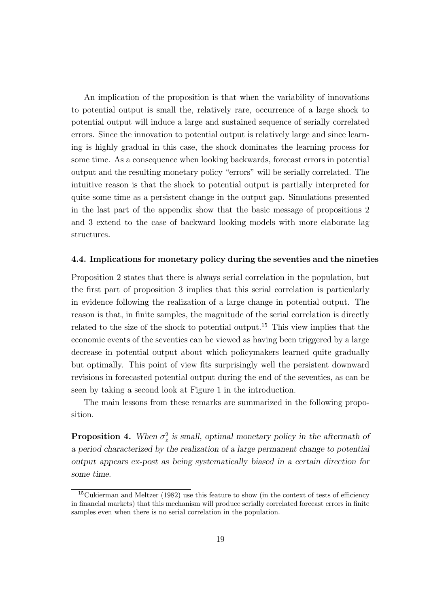An implication of the proposition is that when the variability of innovations to potential output is small the, relatively rare, occurrence of a large shock to potential output will induce a large and sustained sequence of serially correlated errors. Since the innovation to potential output is relatively large and since learning is highly gradual in this case, the shock dominates the learning process for some time. As a consequence when looking backwards, forecast errors in potential output and the resulting monetary policy "errors" will be serially correlated. The intuitive reason is that the shock to potential output is partially interpreted for quite some time as a persistent change in the output gap. Simulations presented in the last part of the appendix show that the basic message of propositions 2 and 3 extend to the case of backward looking models with more elaborate lag structures.

### 4.4. Implications for monetary policy during the seventies and the nineties

Proposition 2 states that there is always serial correlation in the population, but the first part of proposition 3 implies that this serial correlation is particularly in evidence following the realization of a large change in potential output. The reason is that, in finite samples, the magnitude of the serial correlation is directly related to the size of the shock to potential output.<sup>15</sup> This view implies that the economic events of the seventies can be viewed as having been triggered by a large decrease in potential output about which policymakers learned quite gradually but optimally. This point of view fits surprisingly well the persistent downward revisions in forecasted potential output during the end of the seventies, as can be seen by taking a second look at Figure 1 in the introduction.

The main lessons from these remarks are summarized in the following proposition.

**Proposition 4.** When  $\sigma_z^2$  is small, optimal monetary policy in the aftermath of a period characterized by the realization of a large permanent change to potential output appears ex-post as being systematically biased in a certain direction for some time.

<sup>&</sup>lt;sup>15</sup>Cukierman and Meltzer (1982) use this feature to show (in the context of tests of efficiency in financial markets) that this mechanism will produce serially correlated forecast errors in finite samples even when there is no serial correlation in the population.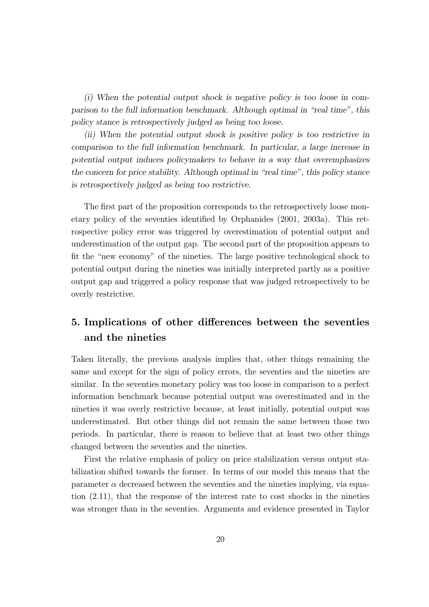(i) When the potential output shock is negative policy is too loose in comparison to the full information benchmark. Although optimal in "real time", this policy stance is retrospectively judged as being too loose.

(ii) When the potential output shock is positive policy is too restrictive in comparison to the full information benchmark. In particular, a large increase in potential output induces policymakers to behave in a way that overemphasizes the concern for price stability. Although optimal in "real time", this policy stance is retrospectively judged as being too restrictive.

The first part of the proposition corresponds to the retrospectively loose monetary policy of the seventies identified by Orphanides (2001, 2003a). This retrospective policy error was triggered by overestimation of potential output and underestimation of the output gap. The second part of the proposition appears to fit the "new economy" of the nineties. The large positive technological shock to potential output during the nineties was initially interpreted partly as a positive output gap and triggered a policy response that was judged retrospectively to be overly restrictive.

## 5. Implications of other differences between the seventies and the nineties

Taken literally, the previous analysis implies that, other things remaining the same and except for the sign of policy errors, the seventies and the nineties are similar. In the seventies monetary policy was too loose in comparison to a perfect information benchmark because potential output was overestimated and in the nineties it was overly restrictive because, at least initially, potential output was underestimated. But other things did not remain the same between those two periods. In particular, there is reason to believe that at least two other things changed between the seventies and the nineties.

First the relative emphasis of policy on price stabilization versus output stabilization shifted towards the former. In terms of our model this means that the parameter  $\alpha$  decreased between the seventies and the nineties implying, via equation (2.11), that the response of the interest rate to cost shocks in the nineties was stronger than in the seventies. Arguments and evidence presented in Taylor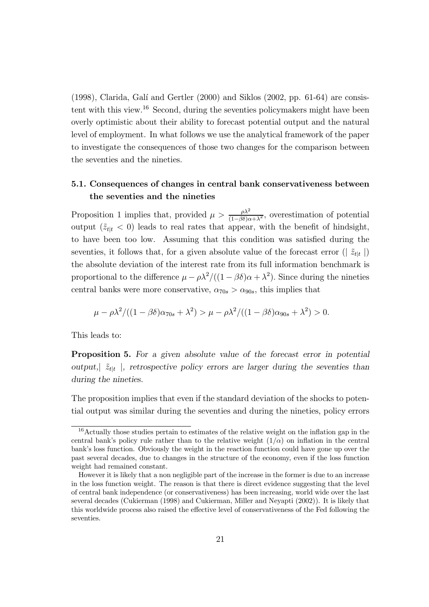$(1998)$ , Clarida, Galí and Gertler  $(2000)$  and Siklos  $(2002, pp. 61-64)$  are consistent with this view.<sup>16</sup> Second, during the seventies policymakers might have been overly optimistic about their ability to forecast potential output and the natural level of employment. In what follows we use the analytical framework of the paper to investigate the consequences of those two changes for the comparison between the seventies and the nineties.

## 5.1. Consequences of changes in central bank conservativeness between the seventies and the nineties

Proposition 1 implies that, provided  $\mu > \frac{\rho \lambda^2}{(1-\beta\delta)\alpha + \lambda^2}$ , overestimation of potential output  $(\tilde{z}_{t|t} < 0)$  leads to real rates that appear, with the benefit of hindsight, to have been too low. Assuming that this condition was satisfied during the seventies, it follows that, for a given absolute value of the forecast error ( $|\tilde{z}_{ttt}|$ ) the absolute deviation of the interest rate from its full information benchmark is proportional to the difference  $\mu - \rho \lambda^2/((1 - \beta \delta)\alpha + \lambda^2)$ . Since during the nineties central banks were more conservative,  $\alpha_{70s} > \alpha_{90s}$ , this implies that

$$
\mu - \rho \lambda^2 / ((1 - \beta \delta) \alpha_{70s} + \lambda^2) > \mu - \rho \lambda^2 / ((1 - \beta \delta) \alpha_{90s} + \lambda^2) > 0.
$$

This leads to:

Proposition 5. For a given absolute value of the forecast error in potential output,  $\tilde{z}_{tt}$ , retrospective policy errors are larger during the seventies than during the nineties.

The proposition implies that even if the standard deviation of the shocks to potential output was similar during the seventies and during the nineties, policy errors

<sup>&</sup>lt;sup>16</sup>Actually those studies pertain to estimates of the relative weight on the inflation gap in the central bank's policy rule rather than to the relative weight  $(1/\alpha)$  on inflation in the central bank's loss function. Obviously the weight in the reaction function could have gone up over the past several decades, due to changes in the structure of the economy, even if the loss function weight had remained constant.

However it is likely that a non negligible part of the increase in the former is due to an increase in the loss function weight. The reason is that there is direct evidence suggesting that the level of central bank independence (or conservativeness) has been increasing, world wide over the last several decades (Cukierman (1998) and Cukierman, Miller and Neyapti (2002)). It is likely that this worldwide process also raised the effective level of conservativeness of the Fed following the seventies.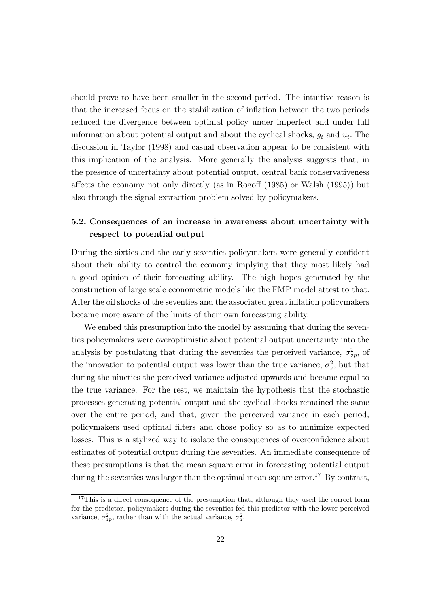should prove to have been smaller in the second period. The intuitive reason is that the increased focus on the stabilization of inflation between the two periods reduced the divergence between optimal policy under imperfect and under full information about potential output and about the cyclical shocks,  $g_t$  and  $u_t$ . The discussion in Taylor (1998) and casual observation appear to be consistent with this implication of the analysis. More generally the analysis suggests that, in the presence of uncertainty about potential output, central bank conservativeness affects the economy not only directly (as in Rogoff (1985) or Walsh (1995)) but also through the signal extraction problem solved by policymakers.

## 5.2. Consequences of an increase in awareness about uncertainty with respect to potential output

During the sixties and the early seventies policymakers were generally confident about their ability to control the economy implying that they most likely had a good opinion of their forecasting ability. The high hopes generated by the construction of large scale econometric models like the FMP model attest to that. After the oil shocks of the seventies and the associated great inflation policymakers became more aware of the limits of their own forecasting ability.

We embed this presumption into the model by assuming that during the seventies policymakers were overoptimistic about potential output uncertainty into the analysis by postulating that during the seventies the perceived variance,  $\sigma_{zp}^2$ , of the innovation to potential output was lower than the true variance,  $\sigma_z^2$ , but that during the nineties the perceived variance adjusted upwards and became equal to the true variance. For the rest, we maintain the hypothesis that the stochastic processes generating potential output and the cyclical shocks remained the same over the entire period, and that, given the perceived variance in each period, policymakers used optimal filters and chose policy so as to minimize expected losses. This is a stylized way to isolate the consequences of overconfidence about estimates of potential output during the seventies. An immediate consequence of these presumptions is that the mean square error in forecasting potential output during the seventies was larger than the optimal mean square error.<sup>17</sup> By contrast,

<sup>&</sup>lt;sup>17</sup>This is a direct consequence of the presumption that, although they used the correct form for the predictor, policymakers during the seventies fed this predictor with the lower perceived variance,  $\sigma_{zp}^2$ , rather than with the actual variance,  $\sigma_z^2$ .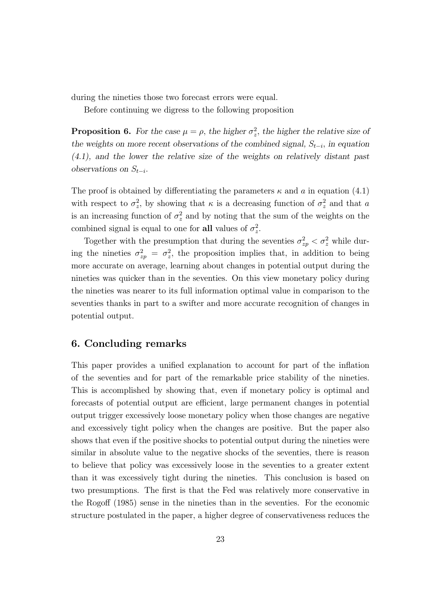during the nineties those two forecast errors were equal.

Before continuing we digress to the following proposition

**Proposition 6.** For the case  $\mu = \rho$ , the higher  $\sigma_z^2$ , the higher the relative size of the weights on more recent observations of the combined signal,  $S_{t-i}$ , in equation (4.1), and the lower the relative size of the weights on relatively distant past observations on  $S_{t-i}$ .

The proof is obtained by differentiating the parameters  $\kappa$  and  $\alpha$  in equation (4.1) with respect to  $\sigma_z^2$ , by showing that  $\kappa$  is a decreasing function of  $\sigma_z^2$  and that a is an increasing function of  $\sigma_z^2$  and by noting that the sum of the weights on the combined signal is equal to one for all values of  $\sigma_z^2$ .

Together with the presumption that during the seventies  $\sigma_{zp}^2 < \sigma_z^2$  while during the nineties  $\sigma_{zp}^2 = \sigma_z^2$ , the proposition implies that, in addition to being more accurate on average, learning about changes in potential output during the nineties was quicker than in the seventies. On this view monetary policy during the nineties was nearer to its full information optimal value in comparison to the seventies thanks in part to a swifter and more accurate recognition of changes in potential output.

### 6. Concluding remarks

This paper provides a unified explanation to account for part of the inflation of the seventies and for part of the remarkable price stability of the nineties. This is accomplished by showing that, even if monetary policy is optimal and forecasts of potential output are efficient, large permanent changes in potential output trigger excessively loose monetary policy when those changes are negative and excessively tight policy when the changes are positive. But the paper also shows that even if the positive shocks to potential output during the nineties were similar in absolute value to the negative shocks of the seventies, there is reason to believe that policy was excessively loose in the seventies to a greater extent than it was excessively tight during the nineties. This conclusion is based on two presumptions. The first is that the Fed was relatively more conservative in the Rogoff (1985) sense in the nineties than in the seventies. For the economic structure postulated in the paper, a higher degree of conservativeness reduces the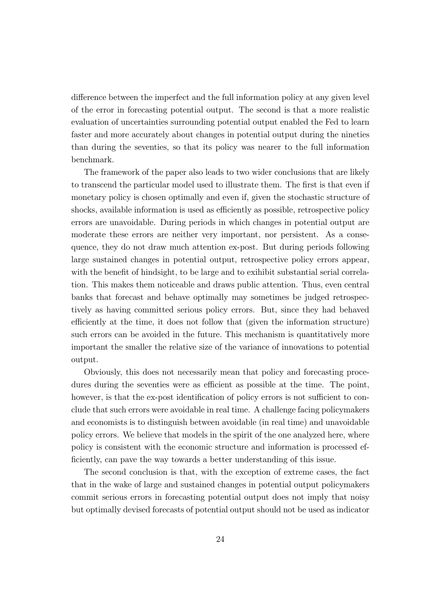difference between the imperfect and the full information policy at any given level of the error in forecasting potential output. The second is that a more realistic evaluation of uncertainties surrounding potential output enabled the Fed to learn faster and more accurately about changes in potential output during the nineties than during the seventies, so that its policy was nearer to the full information benchmark.

The framework of the paper also leads to two wider conclusions that are likely to transcend the particular model used to illustrate them. The first is that even if monetary policy is chosen optimally and even if, given the stochastic structure of shocks, available information is used as efficiently as possible, retrospective policy errors are unavoidable. During periods in which changes in potential output are moderate these errors are neither very important, nor persistent. As a consequence, they do not draw much attention ex-post. But during periods following large sustained changes in potential output, retrospective policy errors appear, with the benefit of hindsight, to be large and to exihibit substantial serial correlation. This makes them noticeable and draws public attention. Thus, even central banks that forecast and behave optimally may sometimes be judged retrospectively as having committed serious policy errors. But, since they had behaved efficiently at the time, it does not follow that (given the information structure) such errors can be avoided in the future. This mechanism is quantitatively more important the smaller the relative size of the variance of innovations to potential output.

Obviously, this does not necessarily mean that policy and forecasting procedures during the seventies were as efficient as possible at the time. The point, however, is that the ex-post identification of policy errors is not sufficient to conclude that such errors were avoidable in real time. A challenge facing policymakers and economists is to distinguish between avoidable (in real time) and unavoidable policy errors. We believe that models in the spirit of the one analyzed here, where policy is consistent with the economic structure and information is processed efficiently, can pave the way towards a better understanding of this issue.

The second conclusion is that, with the exception of extreme cases, the fact that in the wake of large and sustained changes in potential output policymakers commit serious errors in forecasting potential output does not imply that noisy but optimally devised forecasts of potential output should not be used as indicator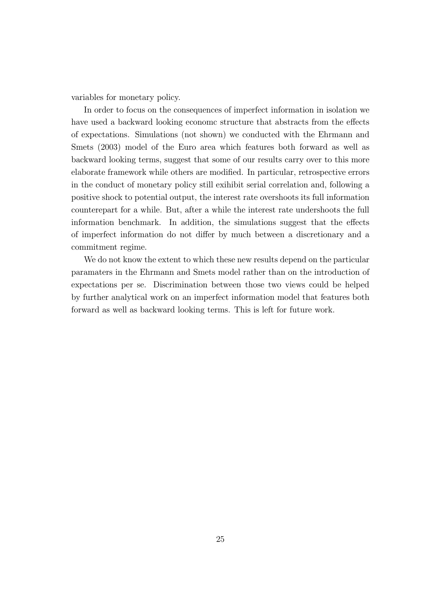variables for monetary policy.

In order to focus on the consequences of imperfect information in isolation we have used a backward looking economc structure that abstracts from the effects of expectations. Simulations (not shown) we conducted with the Ehrmann and Smets (2003) model of the Euro area which features both forward as well as backward looking terms, suggest that some of our results carry over to this more elaborate framework while others are modified. In particular, retrospective errors in the conduct of monetary policy still exihibit serial correlation and, following a positive shock to potential output, the interest rate overshoots its full information counterepart for a while. But, after a while the interest rate undershoots the full information benchmark. In addition, the simulations suggest that the effects of imperfect information do not differ by much between a discretionary and a commitment regime.

We do not know the extent to which these new results depend on the particular paramaters in the Ehrmann and Smets model rather than on the introduction of expectations per se. Discrimination between those two views could be helped by further analytical work on an imperfect information model that features both forward as well as backward looking terms. This is left for future work.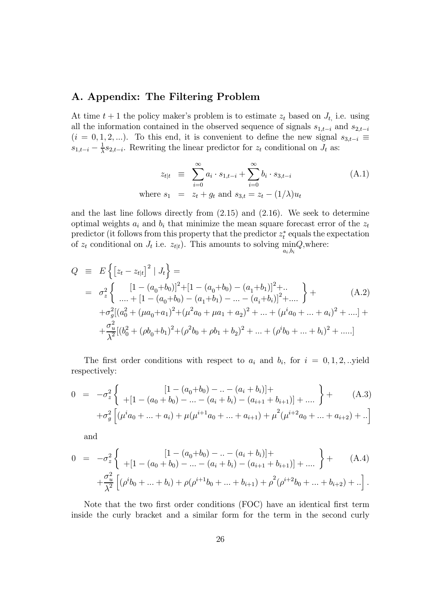## A. Appendix: The Filtering Problem

At time  $t + 1$  the policy maker's problem is to estimate  $z_t$  based on  $J_t$ , i.e. using all the information contained in the observed sequence of signals  $s_{1,t-i}$  and  $s_{2,t-i}$  $(i = 0, 1, 2, ...)$ . To this end, it is convenient to define the new signal  $s_{3,t-i} \equiv$  $s_{1,t-i} - \frac{1}{\lambda} s_{2,t-i}$ . Rewriting the linear predictor for  $z_t$  conditional on  $J_t$  as:

$$
z_{t|t} \equiv \sum_{i=0}^{\infty} a_i \cdot s_{1,t-i} + \sum_{i=0}^{\infty} b_i \cdot s_{3,t-i}
$$
 (A.1)  
where  $s_1 = z_t + g_t$  and  $s_{3,t} = z_t - (1/\lambda)u_t$ 

and the last line follows directly from (2.15) and (2.16). We seek to determine optimal weights  $a_i$  and  $b_i$  that minimize the mean square forecast error of the  $z_t$ predictor (it follows from this property that the predictor  $z_t^*$  equals the expectation of  $z_t$  conditional on  $J_t$  i.e.  $z_{t|t}$ . This amounts to solving  $\min_{a_i,b_i} Q$ , where:

$$
Q \equiv E \left\{ \left[ z_t - z_{t|t} \right]^2 \mid J_t \right\} =
$$
  
\n
$$
= \sigma_z^2 \left\{ \begin{array}{l} \left[ 1 - (a_0 + b_0) \right]^2 + \left[ 1 - (a_0 + b_0) - (a_1 + b_1) \right]^2 + \dots \\ \dots + \left[ 1 - (a_0 + b_0) - (a_1 + b_1) - \dots - (a_i + b_i) \right]^2 + \dots \end{array} \right\} +
$$
\n
$$
+ \sigma_g^2 \left[ (a_0^2 + (\mu a_0 + a_1)^2 + (\mu^2 a_0 + \mu a_1 + a_2)^2 + \dots + (\mu^i a_0 + \dots + a_i)^2 + \dots \right] +
$$
\n
$$
+ \frac{\sigma_u^2}{\lambda^2} \left[ (b_0^2 + (\rho b_0 + b_1)^2 + (\rho^2 b_0 + \rho b_1 + b_2)^2 + \dots + (\rho^i b_0 + \dots + b_i)^2 + \dots \right]
$$
\n(A.2)

The first order conditions with respect to  $a_i$  and  $b_i$ , for  $i = 0, 1, 2, ...$ yield respectively:

$$
0 = -\sigma_z^2 \left\{ \begin{array}{c} [1 - (a_0 + b_0) - ... - (a_i + b_i)] + \\ + [1 - (a_0 + b_0) - ... - (a_i + b_i) - (a_{i+1} + b_{i+1})] + .... \end{array} \right\} + (A.3)
$$

$$
+ \sigma_g^2 \left[ (\mu^i a_0 + ... + a_i) + \mu (\mu^{i+1} a_0 + ... + a_{i+1}) + \mu^2 (\mu^{i+2} a_0 + ... + a_{i+2}) + .. \right]
$$

and

$$
0 = -\sigma_z^2 \left\{ \begin{array}{c} [1 - (a_0 + b_0) - ... - (a_i + b_i)] + \\ + [1 - (a_0 + b_0) - ... - (a_i + b_i) - (a_{i+1} + b_{i+1})] + .... \end{array} \right\} + \text{(A.4)}
$$

$$
+ \frac{\sigma_u^2}{\lambda^2} \left[ (\rho^i b_0 + ... + b_i) + \rho (\rho^{i+1} b_0 + ... + b_{i+1}) + \rho^2 (\rho^{i+2} b_0 + ... + b_{i+2}) + ... \right].
$$

Note that the two first order conditions (FOC) have an identical first term inside the curly bracket and a similar form for the term in the second curly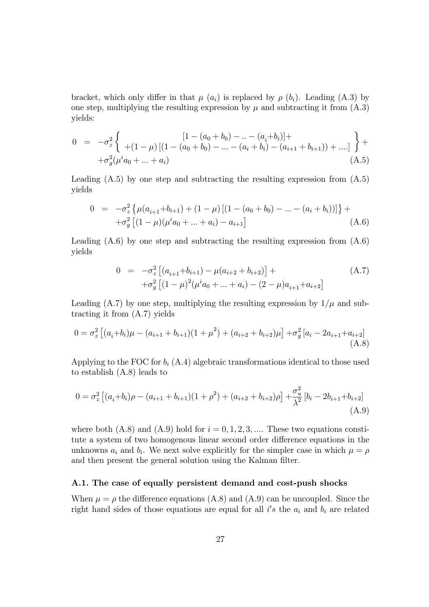bracket, which only differ in that  $\mu$   $(a_i)$  is replaced by  $\rho$   $(b_i)$ . Leading (A.3) by one step, multiplying the resulting expression by  $\mu$  and subtracting it from  $(A.3)$ yields:

$$
0 = -\sigma_z^2 \left\{ \begin{array}{c} [1 - (a_0 + b_0) - ... - (a_i + b_i)] + \\ + \sigma_g^2(\mu^i a_0 + ... + a_i) \end{array} \right\} +
$$
  
+  $\sigma_g^2(\mu^i a_0 + ... + a_i)$  (A.5)

Leading  $(A.5)$  by one step and subtracting the resulting expression from  $(A.5)$ yields

$$
0 = -\sigma_z^2 \left\{ \mu(a_{i+1} + b_{i+1}) + (1 - \mu) \left[ (1 - (a_0 + b_0) - \dots - (a_i + b_i)) \right] \right\} +
$$
  
 
$$
+ \sigma_g^2 \left[ (1 - \mu)(\mu^i a_0 + \dots + a_i) - a_{i+1} \right]
$$
 (A.6)

Leading  $(A.6)$  by one step and subtracting the resulting expression from  $(A.6)$ yields

$$
0 = -\sigma_z^2 \left[ (a_{i+1} + b_{i+1}) - \mu (a_{i+2} + b_{i+2}) \right] +
$$
  
 
$$
+ \sigma_g^2 \left[ (1 - \mu)^2 (\mu^i a_0 + \dots + a_i) - (2 - \mu) a_{i+1} + a_{i+2} \right]
$$
 (A.7)

Leading (A.7) by one step, multiplying the resulting expression by  $1/\mu$  and subtracting it from (A.7) yields

$$
0 = \sigma_z^2 \left[ (a_i + b_i)\mu - (a_{i+1} + b_{i+1})(1 + \mu^2) + (a_{i+2} + b_{i+2})\mu \right] + \sigma_g^2 \left[ a_i - 2a_{i+1} + a_{i+2} \right]
$$
\n(A.8)

Applying to the FOC for  $b_i$  (A.4) algebraic transformations identical to those used to establish (A.8) leads to

$$
0 = \sigma_z^2 \left[ (a_i + b_i)\rho - (a_{i+1} + b_{i+1})(1 + \rho^2) + (a_{i+2} + b_{i+2})\rho \right] + \frac{\sigma_u^2}{\lambda^2} \left[ b_i - 2b_{i+1} + b_{i+2} \right]
$$
\n(A.9)

where both  $(A.8)$  and  $(A.9)$  hold for  $i = 0, 1, 2, 3, \dots$  These two equations constitute a system of two homogenous linear second order difference equations in the unknowns  $a_i$  and  $b_i$ . We next solve explicitly for the simpler case in which  $\mu = \rho$ and then present the general solution using the Kalman filter.

### A.1. The case of equally persistent demand and cost-push shocks

When  $\mu = \rho$  the difference equations (A.8) and (A.9) can be uncoupled. Since the right hand sides of those equations are equal for all  $i's$  the  $a_i$  and  $b_i$  are related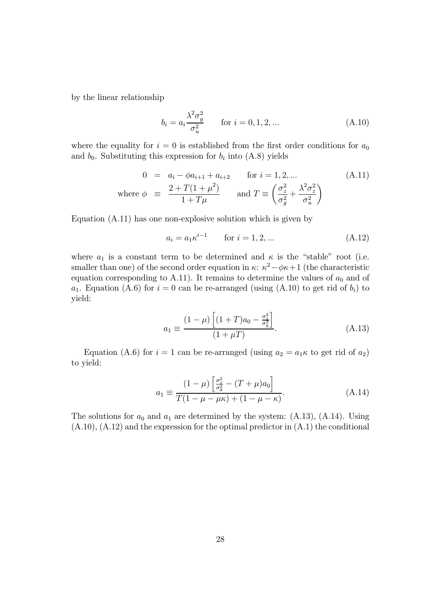by the linear relationship

$$
b_i = a_i \frac{\lambda^2 \sigma_g^2}{\sigma_u^2} \qquad \text{for } i = 0, 1, 2, ... \tag{A.10}
$$

where the equality for  $i = 0$  is established from the first order conditions for  $a_0$ and  $b_0$ . Substituting this expression for  $b_i$  into (A.8) yields

$$
0 = a_i - \phi a_{i+1} + a_{i+2} \quad \text{for } i = 1, 2, ...
$$
\n
$$
\text{where } \phi \equiv \frac{2 + T(1 + \mu^2)}{1 + T\mu} \quad \text{and } T \equiv \left(\frac{\sigma_z^2}{\sigma_g^2} + \frac{\lambda^2 \sigma_z^2}{\sigma_u^2}\right)
$$
\n(A.11)

Equation (A.11) has one non-explosive solution which is given by

$$
a_i = a_1 \kappa^{i-1} \qquad \text{for } i = 1, 2, \dots \tag{A.12}
$$

where  $a_1$  is a constant term to be determined and  $\kappa$  is the "stable" root (i.e. smaller than one) of the second order equation in  $\kappa$ :  $\kappa^2 - \phi \kappa + 1$  (the characteristic equation corresponding to A.11). It remains to determine the values of  $a_0$  and of  $a_1$ . Equation (A.6) for  $i = 0$  can be re-arranged (using (A.10) to get rid of  $b_i$ ) to yield:

$$
a_1 \equiv \frac{(1 - \mu) \left[ (1 + T)a_0 - \frac{\sigma_z^2}{\sigma_g^2} \right]}{(1 + \mu T)}.
$$
\n(A.13)

Equation (A.6) for  $i = 1$  can be re-arranged (using  $a_2 = a_1 \kappa$  to get rid of  $a_2$ ) to yield:

$$
a_1 \equiv \frac{(1-\mu)\left[\frac{\sigma_z^2}{\sigma_g^2} - (T+\mu)a_0\right]}{T(1-\mu-\mu\kappa) + (1-\mu-\kappa)}.
$$
 (A.14)

The solutions for  $a_0$  and  $a_1$  are determined by the system: (A.13), (A.14). Using (A.10), (A.12) and the expression for the optimal predictor in (A.1) the conditional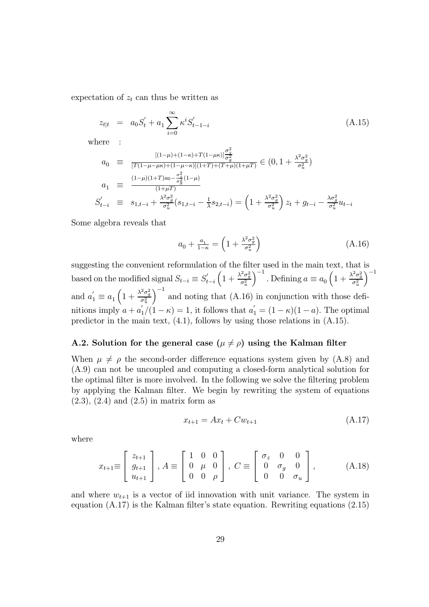expectation of  $z_t$  can thus be written as

$$
z_{t|t} = a_0 S'_t + a_1 \sum_{i=0}^{\infty} \kappa^i S'_{t-1-i}
$$
 (A.15)

where :

$$
a_0 \equiv \frac{[(1-\mu)+(1-\kappa)+T(1-\mu\kappa)]\frac{\sigma_z^2}{\sigma_g^2}}{[T(1-\mu-\mu\kappa)+(1-\mu-\kappa)](1+T)+(T+\mu)(1+\mu T)} \in (0, 1+\frac{\lambda^2\sigma_g^2}{\sigma_u^2})
$$
  
\n
$$
a_1 \equiv \frac{(1-\mu)(1+T)a_0-\frac{\sigma_z^2}{\sigma_g^2}(1-\mu)}{(1+\mu T)}
$$
  
\n
$$
S'_{t-i} \equiv s_{1,t-i} + \frac{\lambda^2\sigma_g^2}{\sigma_u^2}(s_{1,t-i}-\frac{1}{\lambda}s_{2,t-i}) = \left(1+\frac{\lambda^2\sigma_g^2}{\sigma_u^2}\right)z_t + g_{t-i} - \frac{\lambda\sigma_g^2}{\sigma_u^2}u_{t-i}
$$

Some algebra reveals that

$$
a_0 + \frac{a_1}{1 - \kappa} = \left(1 + \frac{\lambda^2 \sigma_g^2}{\sigma_u^2}\right) \tag{A.16}
$$

suggesting the convenient reformulation of the filter used in the main text, that is based on the modified signal  $S_{t-i} \equiv S'_{t-i}$  $\left(1+\frac{\lambda^2\sigma_g^2}{\sigma_u^2}\right)$  $\int^{-1}$ . Defining  $a \equiv a_0 \left(1 + \frac{\lambda^2 \sigma_g^2}{\sigma_u^2}\right)$  $\setminus$ <sup>-1</sup> and  $a'_1 \equiv a_1 \left(1 + \frac{\lambda^2 \sigma_g^2}{\sigma_u^2}\right)$  $\int^{-1}$  and noting that (A.16) in conjunction with those definitions imply  $a + a'_1/(1 - \kappa) = 1$ , it follows that  $a'_1 = (1 - \kappa)(1 - a)$ . The optimal predictor in the main text, (4.1), follows by using those relations in (A.15).

### A.2. Solution for the general case  $(\mu \neq \rho)$  using the Kalman filter

When  $\mu \neq \rho$  the second-order difference equations system given by (A.8) and (A.9) can not be uncoupled and computing a closed-form analytical solution for the optimal filter is more involved. In the following we solve the filtering problem by applying the Kalman filter. We begin by rewriting the system of equations  $(2.3)$ ,  $(2.4)$  and  $(2.5)$  in matrix form as

$$
x_{t+1} = Ax_t + Cw_{t+1}
$$
 (A.17)

where

$$
x_{t+1} \equiv \begin{bmatrix} z_{t+1} \\ g_{t+1} \\ u_{t+1} \end{bmatrix}, A \equiv \begin{bmatrix} 1 & 0 & 0 \\ 0 & \mu & 0 \\ 0 & 0 & \rho \end{bmatrix}, C \equiv \begin{bmatrix} \sigma_z & 0 & 0 \\ 0 & \sigma_g & 0 \\ 0 & 0 & \sigma_u \end{bmatrix},
$$
 (A.18)

and where  $w_{t+1}$  is a vector of iid innovation with unit variance. The system in equation (A.17) is the Kalman filter's state equation. Rewriting equations (2.15)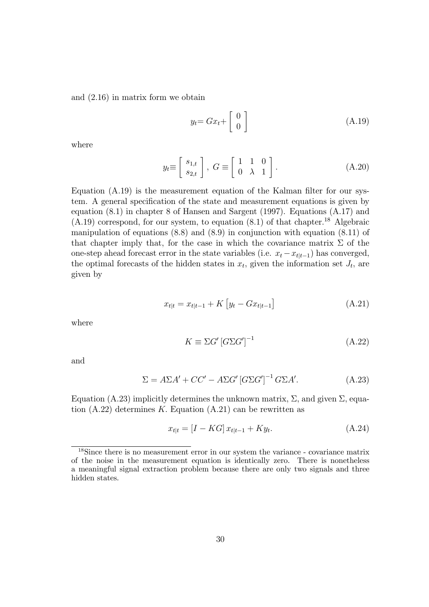and (2.16) in matrix form we obtain

$$
y_t = Gx_t + \begin{bmatrix} 0 \\ 0 \end{bmatrix}
$$
 (A.19)

where

$$
y_t \equiv \left[ \begin{array}{c} s_{1,t} \\ s_{2,t} \end{array} \right], \ G \equiv \left[ \begin{array}{ccc} 1 & 1 & 0 \\ 0 & \lambda & 1 \end{array} \right]. \tag{A.20}
$$

Equation (A.19) is the measurement equation of the Kalman filter for our system. A general specification of the state and measurement equations is given by equation (8.1) in chapter 8 of Hansen and Sargent (1997). Equations (A.17) and  $(A.19)$  correspond, for our system, to equation  $(8.1)$  of that chapter.<sup>18</sup> Algebraic manipulation of equations (8.8) and (8.9) in conjunction with equation (8.11) of that chapter imply that, for the case in which the covariance matrix  $\Sigma$  of the one-step ahead forecast error in the state variables (i.e.  $x_t - x_{t|t-1}$ ) has converged, the optimal forecasts of the hidden states in  $x_t$ , given the information set  $J_t$ , are given by

$$
x_{t|t} = x_{t|t-1} + K \left[ y_t - G x_{t|t-1} \right] \tag{A.21}
$$

where

$$
K \equiv \Sigma G' \left[ G \Sigma G' \right]^{-1} \tag{A.22}
$$

and

$$
\Sigma = A\Sigma A' + CC' - A\Sigma G' [G\Sigma G']^{-1} G\Sigma A'. \tag{A.23}
$$

Equation (A.23) implicitly determines the unknown matrix,  $\Sigma$ , and given  $\Sigma$ , equation  $(A.22)$  determines K. Equation  $(A.21)$  can be rewritten as

$$
x_{t|t} = [I - KG] x_{t|t-1} + Ky_t.
$$
 (A.24)

<sup>18</sup>Since there is no measurement error in our system the variance - covariance matrix of the noise in the measurement equation is identically zero. There is nonetheless a meaningful signal extraction problem because there are only two signals and three hidden states.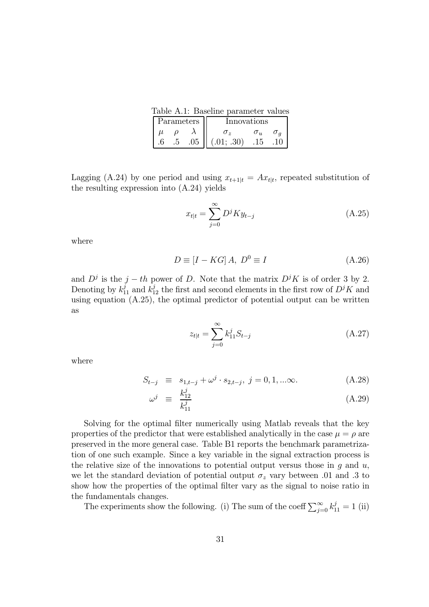Table A.1: Baseline parameter values

|  | Parameters | Innovations     |  |  |  |  |  |
|--|------------|-----------------|--|--|--|--|--|
|  |            |                 |  |  |  |  |  |
|  | $.05\,$    | -30<br>$(11)$ : |  |  |  |  |  |

Lagging (A.24) by one period and using  $x_{t+1|t} = Ax_{t|t}$ , repeated substitution of the resulting expression into (A.24) yields

$$
x_{t|t} = \sum_{j=0}^{\infty} D^j K y_{t-j}
$$
\n(A.25)

where

$$
D \equiv [I - KG] A, \ D^0 \equiv I \tag{A.26}
$$

and  $D^j$  is the j − th power of D. Note that the matrix  $D^j K$  is of order 3 by 2. Denoting by  $k_{11}^j$  and  $k_{12}^j$  the first and second elements in the first row of  $D^j K$  and using equation (A.25), the optimal predictor of potential output can be written as

$$
z_{t|t} = \sum_{j=0}^{\infty} k_{11}^j S_{t-j}
$$
 (A.27)

where

$$
S_{t-j} \equiv s_{1,t-j} + \omega^j \cdot s_{2,t-j}, \ j = 0, 1, \dots \infty. \tag{A.28}
$$

$$
\omega^j \equiv \frac{k_{12}^j}{k_{11}^j} \tag{A.29}
$$

Solving for the optimal filter numerically using Matlab reveals that the key properties of the predictor that were established analytically in the case  $\mu = \rho$  are preserved in the more general case. Table B1 reports the benchmark parametrization of one such example. Since a key variable in the signal extraction process is the relative size of the innovations to potential output versus those in  $g$  and  $u$ , we let the standard deviation of potential output  $\sigma_z$  vary between 0.01 and 0.3 to show how the properties of the optimal filter vary as the signal to noise ratio in the fundamentals changes.

The experiments show the following. (i) The sum of the coeff  $\sum_{j=0}^{\infty} k_{11}^j = 1$  (ii)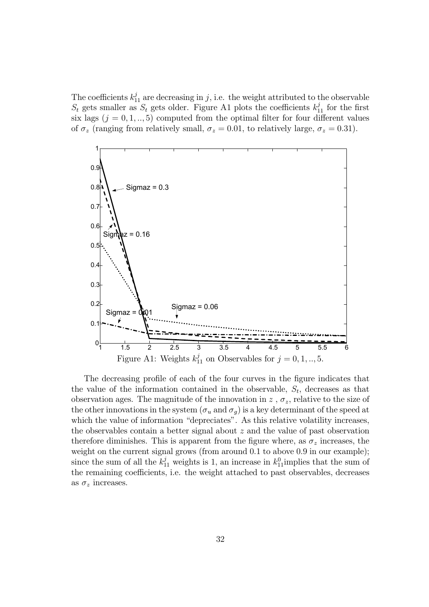The coefficients  $k_{11}^j$  are decreasing in j, i.e. the weight attributed to the observable  $S_t$  gets smaller as  $S_t$  gets older. Figure A1 plots the coefficients  $k_{11}^j$  for the first six lags  $(j = 0, 1, \ldots, 5)$  computed from the optimal filter for four different values of  $\sigma_z$  (ranging from relatively small,  $\sigma_z = 0.01$ , to relatively large,  $\sigma_z = 0.31$ ).



The decreasing profile of each of the four curves in the figure indicates that the value of the information contained in the observable,  $S_t$ , decreases as that observation ages. The magnitude of the innovation in z,  $\sigma_z$ , relative to the size of the other innovations in the system  $(\sigma_u$  and  $\sigma_g)$  is a key determinant of the speed at which the value of information "depreciates". As this relative volatility increases, the observables contain a better signal about z and the value of past observation therefore diminishes. This is apparent from the figure where, as  $\sigma_z$  increases, the weight on the current signal grows (from around 0.1 to above 0.9 in our example); since the sum of all the  $k_{11}^j$  weights is 1, an increase in  $k_{11}^0$  implies that the sum of the remaining coefficients, i.e. the weight attached to past observables, decreases as  $\sigma_z$  increases.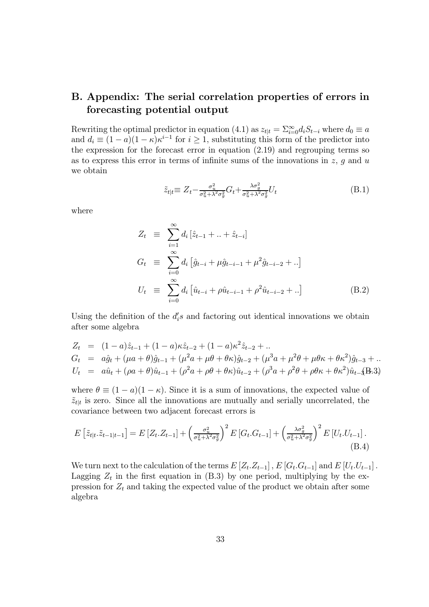## B. Appendix: The serial correlation properties of errors in forecasting potential output

Rewriting the optimal predictor in equation (4.1) as  $z_{t|t} = \sum_{i=0}^{\infty} d_i S_{t-i}$  where  $d_0 \equiv a$ and  $d_i \equiv (1 - a)(1 - \kappa)\kappa^{i-1}$  for  $i \geq 1$ , substituting this form of the predictor into the expression for the forecast error in equation (2.19) and regrouping terms so as to express this error in terms of infinite sums of the innovations in  $z, g$  and  $u$ we obtain

$$
\tilde{z}_{t|t} \equiv Z_t - \frac{\sigma_u^2}{\sigma_u^2 + \lambda^2 \sigma_g^2} G_t + \frac{\lambda \sigma_g^2}{\sigma_u^2 + \lambda^2 \sigma_g^2} U_t \tag{B.1}
$$

where

$$
Z_t \equiv \sum_{i=1}^{\infty} d_i \left[ \hat{z}_{t-1} + \ldots + \hat{z}_{t-i} \right]
$$
  
\n
$$
G_t \equiv \sum_{i=0}^{\infty} d_i \left[ \hat{g}_{t-i} + \mu \hat{g}_{t-i-1} + \mu^2 \hat{g}_{t-i-2} + \ldots \right]
$$
  
\n
$$
U_t \equiv \sum_{i=0}^{\infty} d_i \left[ \hat{u}_{t-i} + \rho \hat{u}_{t-i-1} + \rho^2 \hat{u}_{t-i-2} + \ldots \right]
$$
 (B.2)

Using the definition of the  $d_i$ 's and factoring out identical innovations we obtain after some algebra

$$
Z_t = (1 - a)\hat{z}_{t-1} + (1 - a)\kappa \hat{z}_{t-2} + (1 - a)\kappa^2 \hat{z}_{t-2} + ...
$$
  
\n
$$
G_t = a\hat{g}_t + (\mu a + \theta)\hat{g}_{t-1} + (\mu^2 a + \mu \theta + \theta \kappa)\hat{g}_{t-2} + (\mu^3 a + \mu^2 \theta + \mu \theta \kappa + \theta \kappa^2)\hat{g}_{t-3} + ...
$$
  
\n
$$
U_t = a\hat{u}_t + (\rho a + \theta)\hat{u}_{t-1} + (\rho^2 a + \rho \theta + \theta \kappa)\hat{u}_{t-2} + (\rho^3 a + \rho^2 \theta + \rho \theta \kappa + \theta \kappa^2)\hat{u}_{t-3} + ...
$$

where  $\theta \equiv (1 - a)(1 - \kappa)$ . Since it is a sum of innovations, the expected value of  $\tilde{z}_{t|t}$  is zero. Since all the innovations are mutually and serially uncorrelated, the covariance between two adjacent forecast errors is

$$
E\left[\tilde{z}_{t|t}.\tilde{z}_{t-1|t-1}\right] = E\left[Z_t.Z_{t-1}\right] + \left(\frac{\sigma_u^2}{\sigma_u^2 + \lambda^2 \sigma_g^2}\right)^2 E\left[G_t.G_{t-1}\right] + \left(\frac{\lambda \sigma_g^2}{\sigma_u^2 + \lambda^2 \sigma_g^2}\right)^2 E\left[U_t.U_{t-1}\right].
$$
\n(B.4)

We turn next to the calculation of the terms  $E[Z_t.Z_{t-1}], E[G_t.G_{t-1}]$  and  $E[U_t.U_{t-1}]$ . Lagging  $Z_t$  in the first equation in (B.3) by one period, multiplying by the expression for  $Z_t$  and taking the expected value of the product we obtain after some algebra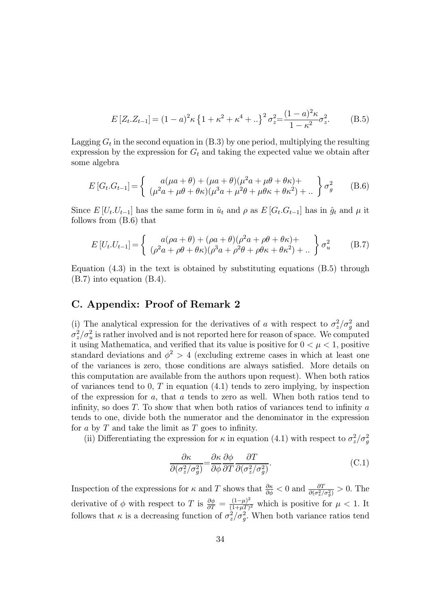$$
E\left[Z_t.Z_{t-1}\right] = (1-a)^2 \kappa \left\{1 + \kappa^2 + \kappa^4 + \ldots\right\}^2 \sigma_z^2 = \frac{(1-a)^2 \kappa}{1 - \kappa^2} \sigma_z^2. \tag{B.5}
$$

Lagging  $G_t$  in the second equation in  $(B.3)$  by one period, multiplying the resulting expression by the expression for  $G_t$  and taking the expected value we obtain after some algebra

$$
E\left[G_t.G_{t-1}\right] = \left\{\n\begin{array}{c}\na(\mu a + \theta) + (\mu a + \theta)(\mu^2 a + \mu \theta + \theta \kappa) + \\
(\mu^2 a + \mu \theta + \theta \kappa)(\mu^3 a + \mu^2 \theta + \mu \theta \kappa + \theta \kappa^2) + \dots\n\end{array}\n\right\}\n\sigma_g^2\n\tag{B.6}
$$

Since  $E[U_t,U_{t-1}]$  has the same form in  $\hat{u}_t$  and  $\rho$  as  $E[G_t,G_{t-1}]$  has in  $\hat{g}_t$  and  $\mu$  it follows from (B.6) that

$$
E[U_t.U_{t-1}] = \begin{cases} a(\rho a + \theta) + (\rho a + \theta)(\rho^2 a + \rho \theta + \theta \kappa) + \\ (\rho^2 a + \rho \theta + \theta \kappa)(\rho^3 a + \rho^2 \theta + \rho \theta \kappa + \theta \kappa^2) + \dots \end{cases} \sigma_u^2 \quad (B.7)
$$

Equation (4.3) in the text is obtained by substituting equations (B.5) through (B.7) into equation (B.4).

## C. Appendix: Proof of Remark 2

(i) The analytical expression for the derivatives of a with respect to  $\sigma_z^2/\sigma_g^2$  and  $\sigma_z^2/\sigma_u^2$  is rather involved and is not reported here for reason of space. We computed it using Mathematica, and verified that its value is positive for  $0 < \mu < 1$ , positive standard deviations and  $\phi^2 > 4$  (excluding extreme cases in which at least one of the variances is zero, those conditions are always satisfied. More details on this computation are available from the authors upon request). When both ratios of variances tend to 0,  $T$  in equation (4.1) tends to zero implying, by inspection of the expression for a, that a tends to zero as well. When both ratios tend to infinity, so does  $T$ . To show that when both ratios of variances tend to infinity  $a$ tends to one, divide both the numerator and the denominator in the expression for  $a$  by  $T$  and take the limit as  $T$  goes to infinity.

(ii) Differentiating the expression for  $\kappa$  in equation (4.1) with respect to  $\sigma_z^2/\sigma_g^2$ 

$$
\frac{\partial \kappa}{\partial (\sigma_z^2/\sigma_g^2)} = \frac{\partial \kappa}{\partial \phi} \frac{\partial \phi}{\partial T} \frac{\partial T}{\partial (\sigma_z^2/\sigma_g^2)}.
$$
\n(C.1)

Inspection of the expressions for  $\kappa$  and T shows that  $\frac{\partial \kappa}{\partial \phi} < 0$  and  $\frac{\partial T}{\partial (\sigma_z^2/\sigma_g^2)} > 0$ . The derivative of  $\phi$  with respect to T is  $\frac{\partial \phi}{\partial T} = \frac{(1-\mu)^2}{(1+\mu)^2}$  which is positive for  $\mu < 1$ . It follows that  $\kappa$  is a decreasing function of  $\sigma_z^2/\sigma_g^2$ . When both variance ratios tend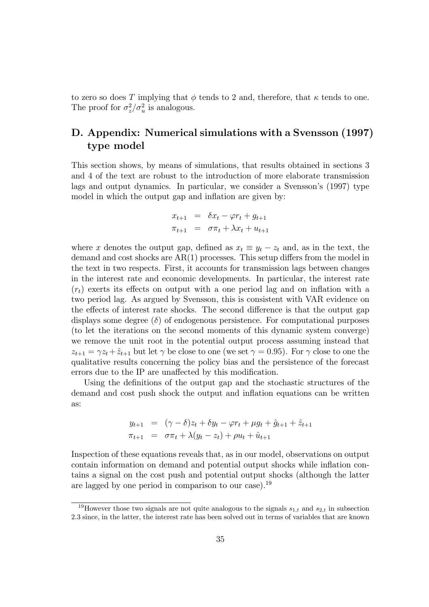to zero so does T implying that  $\phi$  tends to 2 and, therefore, that  $\kappa$  tends to one. The proof for  $\sigma_z^2/\sigma_u^2$  is analogous.

## D. Appendix: Numerical simulations with a Svensson (1997) type model

This section shows, by means of simulations, that results obtained in sections 3 and 4 of the text are robust to the introduction of more elaborate transmission lags and output dynamics. In particular, we consider a Svensson's (1997) type model in which the output gap and inflation are given by:

$$
x_{t+1} = \delta x_t - \varphi r_t + g_{t+1}
$$
  

$$
\pi_{t+1} = \sigma \pi_t + \lambda x_t + u_{t+1}
$$

where x denotes the output gap, defined as  $x_t \equiv y_t - z_t$  and, as in the text, the demand and cost shocks are AR(1) processes. This setup differs from the model in the text in two respects. First, it accounts for transmission lags between changes in the interest rate and economic developments. In particular, the interest rate  $(r_t)$  exerts its effects on output with a one period lag and on inflation with a two period lag. As argued by Svensson, this is consistent with VAR evidence on the effects of interest rate shocks. The second difference is that the output gap displays some degree  $(\delta)$  of endogenous persistence. For computational purposes (to let the iterations on the second moments of this dynamic system converge) we remove the unit root in the potential output process assuming instead that  $z_{t+1} = \gamma z_t + \hat{z}_{t+1}$  but let  $\gamma$  be close to one (we set  $\gamma = 0.95$ ). For  $\gamma$  close to one the qualitative results concerning the policy bias and the persistence of the forecast errors due to the IP are unaffected by this modification.

Using the definitions of the output gap and the stochastic structures of the demand and cost push shock the output and inflation equations can be written as:

$$
y_{t+1} = (\gamma - \delta)z_t + \delta y_t - \varphi r_t + \mu g_t + \hat{g}_{t+1} + \hat{z}_{t+1}
$$
  

$$
\pi_{t+1} = \sigma \pi_t + \lambda (y_t - z_t) + \rho u_t + \hat{u}_{t+1}
$$

Inspection of these equations reveals that, as in our model, observations on output contain information on demand and potential output shocks while inflation contains a signal on the cost push and potential output shocks (although the latter are lagged by one period in comparison to our case).<sup>19</sup>

<sup>&</sup>lt;sup>19</sup>However those two signals are not quite analogous to the signals  $s_{1,t}$  and  $s_{2,t}$  in subsection 2.3 since, in the latter, the interest rate has been solved out in terms of variables that are known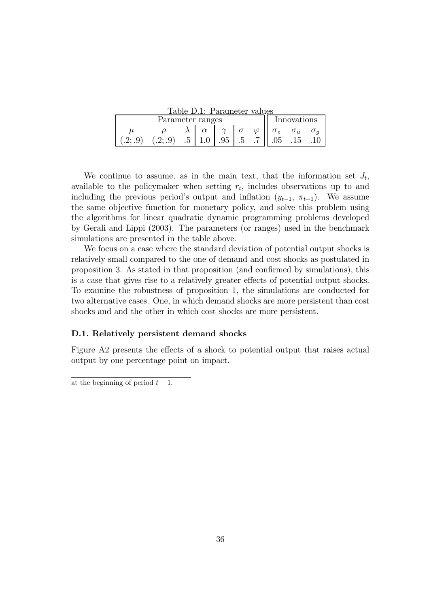Table D.1: Parameter values

| Parameter ranges |         |           |          |                                                    |          |  |  | Innovations |  |  |
|------------------|---------|-----------|----------|----------------------------------------------------|----------|--|--|-------------|--|--|
|                  | (.2:.9) | $\Lambda$ | $\alpha$ | $\sim$ 1<br>$.5 \mid 1.0 \mid .95 \mid .5 \mid .7$ | $\sigma$ |  |  | $\sigma_u$  |  |  |

We continue to assume, as in the main text, that the information set  $J_t$ , available to the policymaker when setting  $r_t$ , includes observations up to and including the previous period's output and inflation  $(y_{t-1}, \pi_{t-1})$ . We assume the same objective function for monetary policy, and solve this problem using the algorithms for linear quadratic dynamic programming problems developed by Gerali and Lippi (2003). The parameters (or ranges) used in the benchmark simulations are presented in the table above.

We focus on a case where the standard deviation of potential output shocks is relatively small compared to the one of demand and cost shocks as postulated in proposition 3. As stated in that proposition (and confirmed by simulations), this is a case that gives rise to a relatively greater effects of potential output shocks. To examine the robustness of proposition 1, the simulations are conducted for two alternative cases. One, in which demand shocks are more persistent than cost shocks and and the other in which cost shocks are more persistent.

### D.1. Relatively persistent demand shocks

Figure A2 presents the effects of a shock to potential output that raises actual output by one percentage point on impact.

at the beginning of period  $t + 1$ .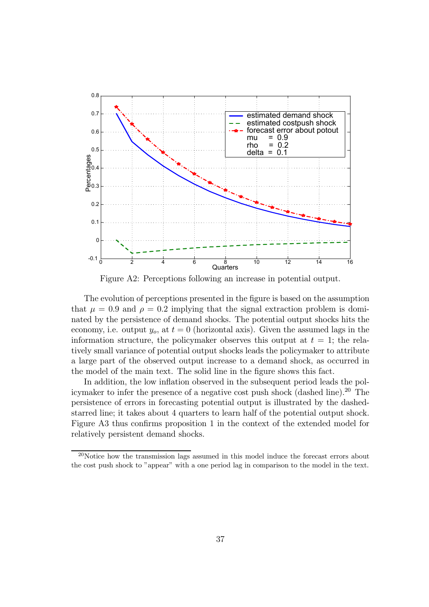

Figure A2: Perceptions following an increase in potential output.

The evolution of perceptions presented in the figure is based on the assumption that  $\mu = 0.9$  and  $\rho = 0.2$  implying that the signal extraction problem is dominated by the persistence of demand shocks. The potential output shocks hits the economy, i.e. output  $y_o$ , at  $t = 0$  (horizontal axis). Given the assumed lags in the information structure, the policymaker observes this output at  $t = 1$ ; the relatively small variance of potential output shocks leads the policymaker to attribute a large part of the observed output increase to a demand shock, as occurred in the model of the main text. The solid line in the figure shows this fact.

In addition, the low inflation observed in the subsequent period leads the policymaker to infer the presence of a negative cost push shock (dashed line).<sup>20</sup> The persistence of errors in forecasting potential output is illustrated by the dashedstarred line; it takes about 4 quarters to learn half of the potential output shock. Figure A3 thus confirms proposition 1 in the context of the extended model for relatively persistent demand shocks.

<sup>20</sup>Notice how the transmission lags assumed in this model induce the forecast errors about the cost push shock to "appear" with a one period lag in comparison to the model in the text.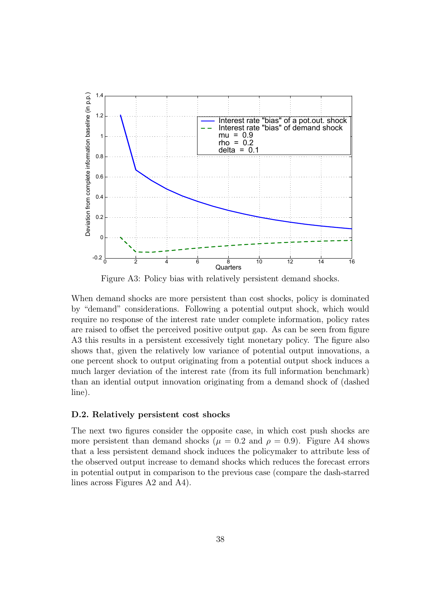

Figure A3: Policy bias with relatively persistent demand shocks.

When demand shocks are more persistent than cost shocks, policy is dominated by "demand" considerations. Following a potential output shock, which would require no response of the interest rate under complete information, policy rates are raised to offset the perceived positive output gap. As can be seen from figure A3 this results in a persistent excessively tight monetary policy. The figure also shows that, given the relatively low variance of potential output innovations, a one percent shock to output originating from a potential output shock induces a much larger deviation of the interest rate (from its full information benchmark) than an idential output innovation originating from a demand shock of (dashed line).

### D.2. Relatively persistent cost shocks

The next two figures consider the opposite case, in which cost push shocks are more persistent than demand shocks ( $\mu = 0.2$  and  $\rho = 0.9$ ). Figure A4 shows that a less persistent demand shock induces the policymaker to attribute less of the observed output increase to demand shocks which reduces the forecast errors in potential output in comparison to the previous case (compare the dash-starred lines across Figures A2 and A4).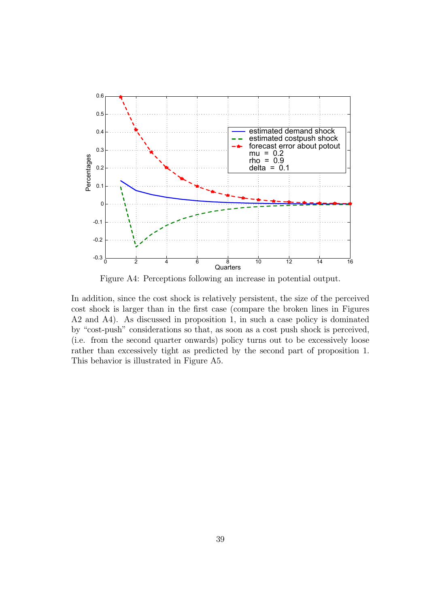

Figure A4: Perceptions following an increase in potential output.

In addition, since the cost shock is relatively persistent, the size of the perceived cost shock is larger than in the first case (compare the broken lines in Figures A2 and A4). As discussed in proposition 1, in such a case policy is dominated by "cost-push" considerations so that, as soon as a cost push shock is perceived, (i.e. from the second quarter onwards) policy turns out to be excessively loose rather than excessively tight as predicted by the second part of proposition 1. This behavior is illustrated in Figure A5.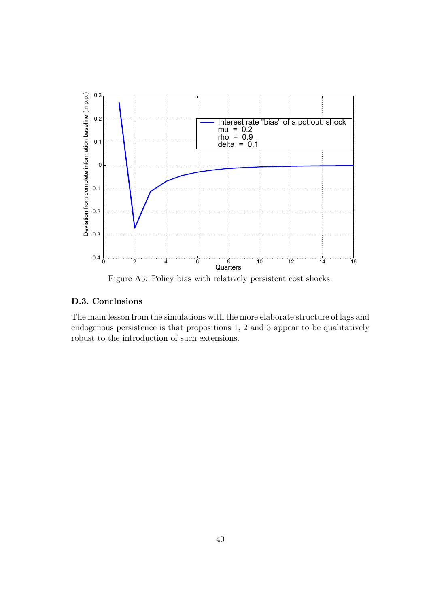

Figure A5: Policy bias with relatively persistent cost shocks.

### D.3. Conclusions

The main lesson from the simulations with the more elaborate structure of lags and endogenous persistence is that propositions 1, 2 and 3 appear to be qualitatively robust to the introduction of such extensions.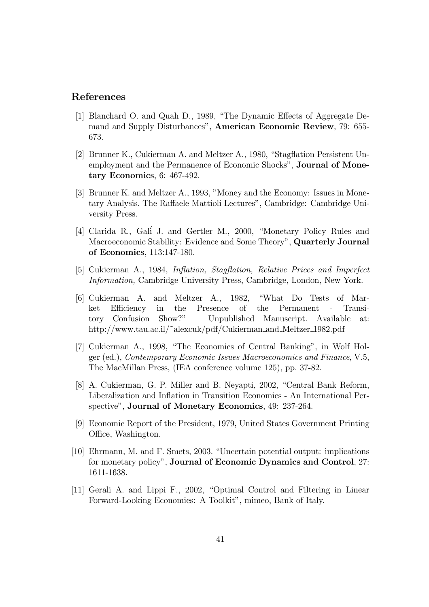### References

- [1] Blanchard O. and Quah D., 1989, "The Dynamic Effects of Aggregate Demand and Supply Disturbances", American Economic Review, 79: 655- 673.
- [2] Brunner K., Cukierman A. and Meltzer A., 1980, "Stagflation Persistent Unemployment and the Permanence of Economic Shocks", Journal of Monetary Economics, 6: 467-492.
- [3] Brunner K. and Meltzer A., 1993, "Money and the Economy: Issues in Monetary Analysis. The Raffaele Mattioli Lectures", Cambridge: Cambridge University Press.
- [4] Clarida R., Gal´i J. and Gertler M., 2000, "Monetary Policy Rules and Macroeconomic Stability: Evidence and Some Theory", Quarterly Journal of Economics, 113:147-180.
- [5] Cukierman A., 1984, Inflation, Stagflation, Relative Prices and Imperfect Information, Cambridge University Press, Cambridge, London, New York.
- [6] Cukierman A. and Meltzer A., 1982, "What Do Tests of Market Efficiency in the Presence of the Permanent - Transitory Confusion Show?" Unpublished Manuscript. Available at: http://www.tau.ac.il/˜alexcuk/pdf/Cukierman and Meltzer 1982.pdf
- [7] Cukierman A., 1998, "The Economics of Central Banking", in Wolf Holger (ed.), Contemporary Economic Issues Macroeconomics and Finance, V.5, The MacMillan Press, (IEA conference volume 125), pp. 37-82.
- [8] A. Cukierman, G. P. Miller and B. Neyapti, 2002, "Central Bank Reform, Liberalization and Inflation in Transition Economies - An International Perspective", Journal of Monetary Economics, 49: 237-264.
- [9] Economic Report of the President, 1979, United States Government Printing Office, Washington.
- [10] Ehrmann, M. and F. Smets, 2003. "Uncertain potential output: implications for monetary policy", Journal of Economic Dynamics and Control, 27: 1611-1638.
- [11] Gerali A. and Lippi F., 2002, "Optimal Control and Filtering in Linear Forward-Looking Economies: A Toolkit", mimeo, Bank of Italy.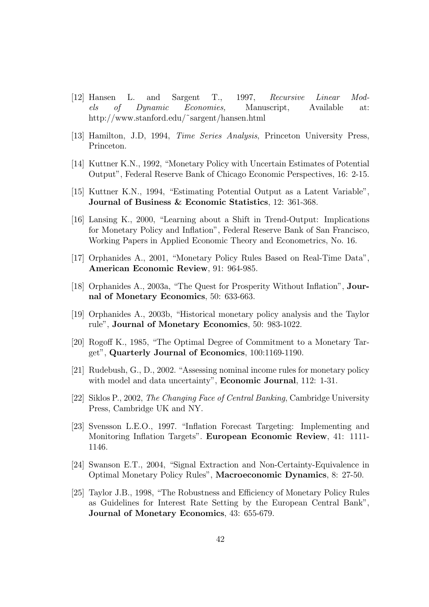- [12] Hansen L. and Sargent T., 1997, Recursive Linear Models of Dynamic Economies, Manuscript, Available at: http://www.stanford.edu/˜sargent/hansen.html
- [13] Hamilton, J.D, 1994, Time Series Analysis, Princeton University Press, Princeton.
- [14] Kuttner K.N., 1992, "Monetary Policy with Uncertain Estimates of Potential Output", Federal Reserve Bank of Chicago Economic Perspectives, 16: 2-15.
- [15] Kuttner K.N., 1994, "Estimating Potential Output as a Latent Variable", Journal of Business & Economic Statistics, 12: 361-368.
- [16] Lansing K., 2000, "Learning about a Shift in Trend-Output: Implications for Monetary Policy and Inflation", Federal Reserve Bank of San Francisco, Working Papers in Applied Economic Theory and Econometrics, No. 16.
- [17] Orphanides A., 2001, "Monetary Policy Rules Based on Real-Time Data", American Economic Review, 91: 964-985.
- [18] Orphanides A., 2003a, "The Quest for Prosperity Without Inflation", Journal of Monetary Economics, 50: 633-663.
- [19] Orphanides A., 2003b, "Historical monetary policy analysis and the Taylor rule", Journal of Monetary Economics, 50: 983-1022.
- [20] Rogoff K., 1985, "The Optimal Degree of Commitment to a Monetary Target", Quarterly Journal of Economics, 100:1169-1190.
- [21] Rudebush, G., D., 2002. "Assessing nominal income rules for monetary policy with model and data uncertainty", **Economic Journal**, 112: 1-31.
- [22] Siklos P., 2002, The Changing Face of Central Banking, Cambridge University Press, Cambridge UK and NY.
- [23] Svensson L.E.O., 1997. "Inflation Forecast Targeting: Implementing and Monitoring Inflation Targets". European Economic Review, 41: 1111- 1146.
- [24] Swanson E.T., 2004, "Signal Extraction and Non-Certainty-Equivalence in Optimal Monetary Policy Rules", Macroeconomic Dynamics, 8: 27-50.
- [25] Taylor J.B., 1998, "The Robustness and Efficiency of Monetary Policy Rules as Guidelines for Interest Rate Setting by the European Central Bank", Journal of Monetary Economics, 43: 655-679.